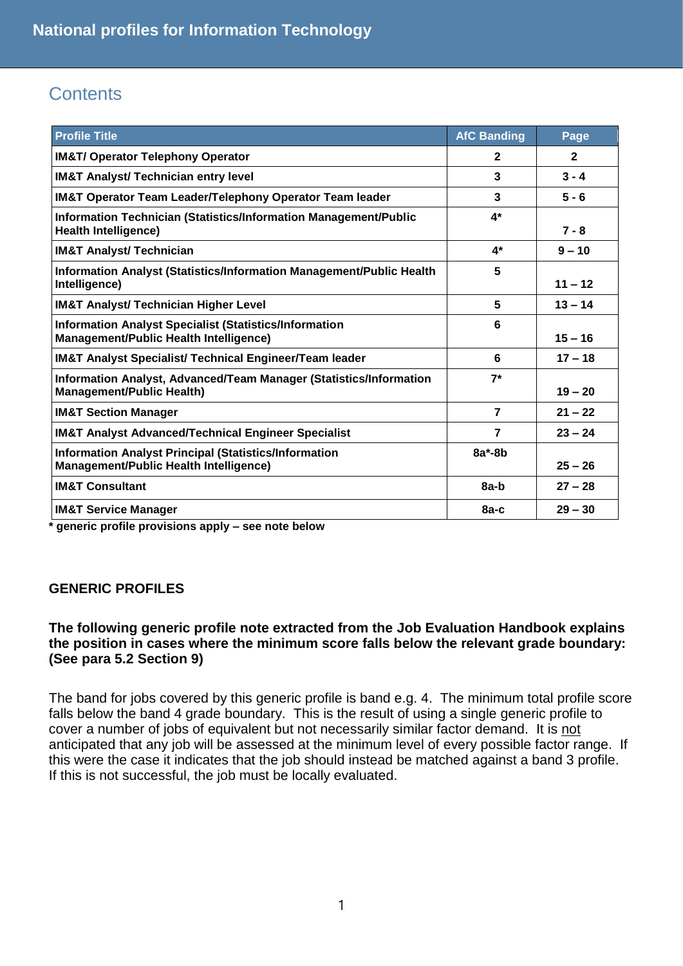# **Contents**

| <b>Profile Title</b>                                                                                           | <b>AfC Banding</b> | Page         |
|----------------------------------------------------------------------------------------------------------------|--------------------|--------------|
| <b>IM&amp;T/ Operator Telephony Operator</b>                                                                   | $\mathbf{2}$       | $\mathbf{2}$ |
| <b>IM&amp;T Analyst/ Technician entry level</b>                                                                | 3                  | $3 - 4$      |
| <b>IM&amp;T Operator Team Leader/Telephony Operator Team leader</b>                                            | 3                  | $5 - 6$      |
| Information Technician (Statistics/Information Management/Public<br><b>Health Intelligence)</b>                | $4*$               | $7 - 8$      |
| <b>IM&amp;T Analyst/ Technician</b>                                                                            | $4*$               | $9 - 10$     |
| Information Analyst (Statistics/Information Management/Public Health<br>Intelligence)                          | 5                  | $11 - 12$    |
| <b>IM&amp;T Analyst/ Technician Higher Level</b>                                                               | 5                  | $13 - 14$    |
| <b>Information Analyst Specialist (Statistics/Information</b><br><b>Management/Public Health Intelligence)</b> | 6                  | $15 - 16$    |
| <b>IM&amp;T Analyst Specialist/ Technical Engineer/Team leader</b>                                             | 6                  | $17 - 18$    |
| Information Analyst, Advanced/Team Manager (Statistics/Information<br><b>Management/Public Health)</b>         | $7^*$              | $19 - 20$    |
| <b>IM&amp;T Section Manager</b>                                                                                | $\overline{7}$     | $21 - 22$    |
| <b>IM&amp;T Analyst Advanced/Technical Engineer Specialist</b>                                                 | $\overline{7}$     | $23 - 24$    |
| <b>Information Analyst Principal (Statistics/Information</b><br><b>Management/Public Health Intelligence)</b>  | $8a^*$ -8b         | $25 - 26$    |
| <b>IM&amp;T Consultant</b>                                                                                     | 8a-b               | $27 - 28$    |
| <b>IM&amp;T Service Manager</b>                                                                                | $8a-c$             | $29 - 30$    |

**\* generic profile provisions apply – see note below**

## **GENERIC PROFILES**

## **The following generic profile note extracted from the Job Evaluation Handbook explains the position in cases where the minimum score falls below the relevant grade boundary: (See para 5.2 Section 9)**

The band for jobs covered by this generic profile is band e.g. 4. The minimum total profile score falls below the band 4 grade boundary. This is the result of using a single generic profile to cover a number of jobs of equivalent but not necessarily similar factor demand. It is not anticipated that any job will be assessed at the minimum level of every possible factor range. If this were the case it indicates that the job should instead be matched against a band 3 profile. If this is not successful, the job must be locally evaluated.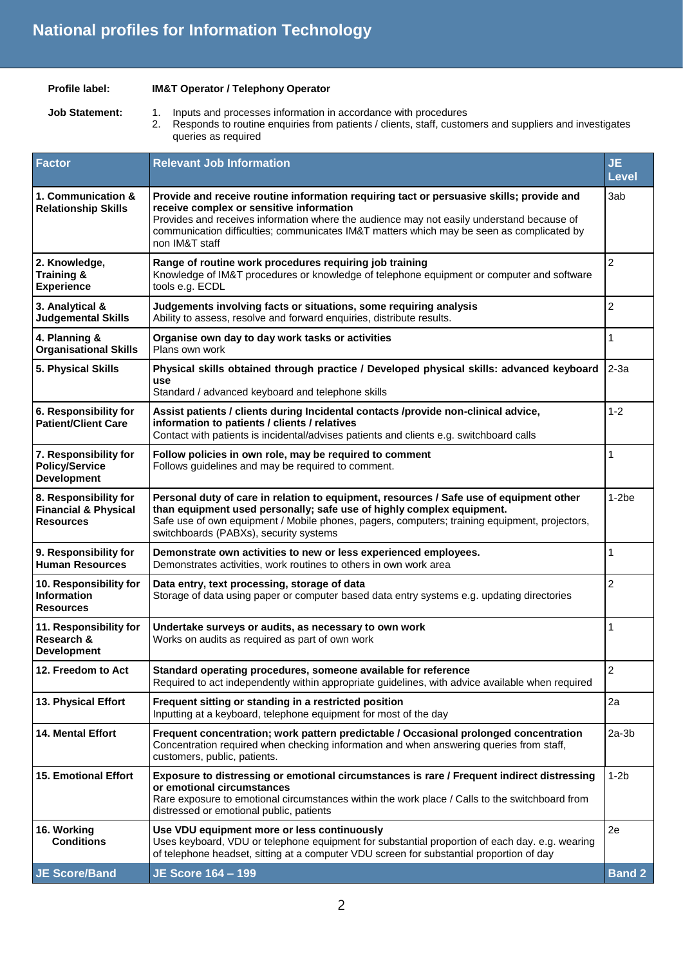| Profile label: |  |
|----------------|--|
|                |  |

### **IM&T Operator / Telephony Operator**

**Job Statement:** 1. Inputs and processes information in accordance with procedures

2. Responds to routine enquiries from patients / clients, staff, customers and suppliers and investigates queries as required

| <b>Factor</b>                                                         | <b>Relevant Job Information</b>                                                                                                                                                                                                                                                                                                                  | <b>JE</b><br><b>Level</b> |
|-----------------------------------------------------------------------|--------------------------------------------------------------------------------------------------------------------------------------------------------------------------------------------------------------------------------------------------------------------------------------------------------------------------------------------------|---------------------------|
| 1. Communication &<br><b>Relationship Skills</b>                      | Provide and receive routine information requiring tact or persuasive skills; provide and<br>receive complex or sensitive information<br>Provides and receives information where the audience may not easily understand because of<br>communication difficulties; communicates IM&T matters which may be seen as complicated by<br>non IM&T staff | 3ab                       |
| 2. Knowledge,<br>Training &<br><b>Experience</b>                      | Range of routine work procedures requiring job training<br>Knowledge of IM&T procedures or knowledge of telephone equipment or computer and software<br>tools e.g. ECDL                                                                                                                                                                          | $\overline{c}$            |
| 3. Analytical &<br><b>Judgemental Skills</b>                          | Judgements involving facts or situations, some requiring analysis<br>Ability to assess, resolve and forward enquiries, distribute results.                                                                                                                                                                                                       | $\overline{\mathbf{c}}$   |
| 4. Planning &<br><b>Organisational Skills</b>                         | Organise own day to day work tasks or activities<br>Plans own work                                                                                                                                                                                                                                                                               | 1                         |
| 5. Physical Skills                                                    | Physical skills obtained through practice / Developed physical skills: advanced keyboard<br>use<br>Standard / advanced keyboard and telephone skills                                                                                                                                                                                             | $2-3a$                    |
| 6. Responsibility for<br><b>Patient/Client Care</b>                   | Assist patients / clients during Incidental contacts /provide non-clinical advice,<br>information to patients / clients / relatives<br>Contact with patients is incidental/advises patients and clients e.g. switchboard calls                                                                                                                   | $1 - 2$                   |
| 7. Responsibility for<br><b>Policy/Service</b><br><b>Development</b>  | Follow policies in own role, may be required to comment<br>Follows guidelines and may be required to comment.                                                                                                                                                                                                                                    | 1                         |
| 8. Responsibility for<br><b>Financial &amp; Physical</b><br>Resources | Personal duty of care in relation to equipment, resources / Safe use of equipment other<br>than equipment used personally; safe use of highly complex equipment.<br>Safe use of own equipment / Mobile phones, pagers, computers; training equipment, projectors,<br>switchboards (PABXs), security systems                                      | $1-2be$                   |
| 9. Responsibility for<br><b>Human Resources</b>                       | Demonstrate own activities to new or less experienced employees.<br>Demonstrates activities, work routines to others in own work area                                                                                                                                                                                                            | 1                         |
| 10. Responsibility for<br><b>Information</b><br><b>Resources</b>      | Data entry, text processing, storage of data<br>Storage of data using paper or computer based data entry systems e.g. updating directories                                                                                                                                                                                                       | $\overline{2}$            |
| 11. Responsibility for<br>Research &<br><b>Development</b>            | Undertake surveys or audits, as necessary to own work<br>Works on audits as required as part of own work                                                                                                                                                                                                                                         | 1                         |
| 12. Freedom to Act                                                    | Standard operating procedures, someone available for reference<br>Required to act independently within appropriate guidelines, with advice available when required                                                                                                                                                                               | $\boldsymbol{2}$          |
| 13. Physical Effort                                                   | Frequent sitting or standing in a restricted position<br>Inputting at a keyboard, telephone equipment for most of the day                                                                                                                                                                                                                        | 2a                        |
| <b>14. Mental Effort</b>                                              | Frequent concentration; work pattern predictable / Occasional prolonged concentration<br>Concentration required when checking information and when answering queries from staff,<br>customers, public, patients.                                                                                                                                 | $2a-3b$                   |
| <b>15. Emotional Effort</b>                                           | Exposure to distressing or emotional circumstances is rare / Frequent indirect distressing<br>or emotional circumstances<br>Rare exposure to emotional circumstances within the work place / Calls to the switchboard from<br>distressed or emotional public, patients                                                                           | $1-2b$                    |
| 16. Working<br><b>Conditions</b>                                      | Use VDU equipment more or less continuously<br>Uses keyboard, VDU or telephone equipment for substantial proportion of each day. e.g. wearing<br>of telephone headset, sitting at a computer VDU screen for substantial proportion of day                                                                                                        | 2e                        |
| JE Score/Band                                                         | <b>JE Score 164 - 199</b>                                                                                                                                                                                                                                                                                                                        | <b>Band 2</b>             |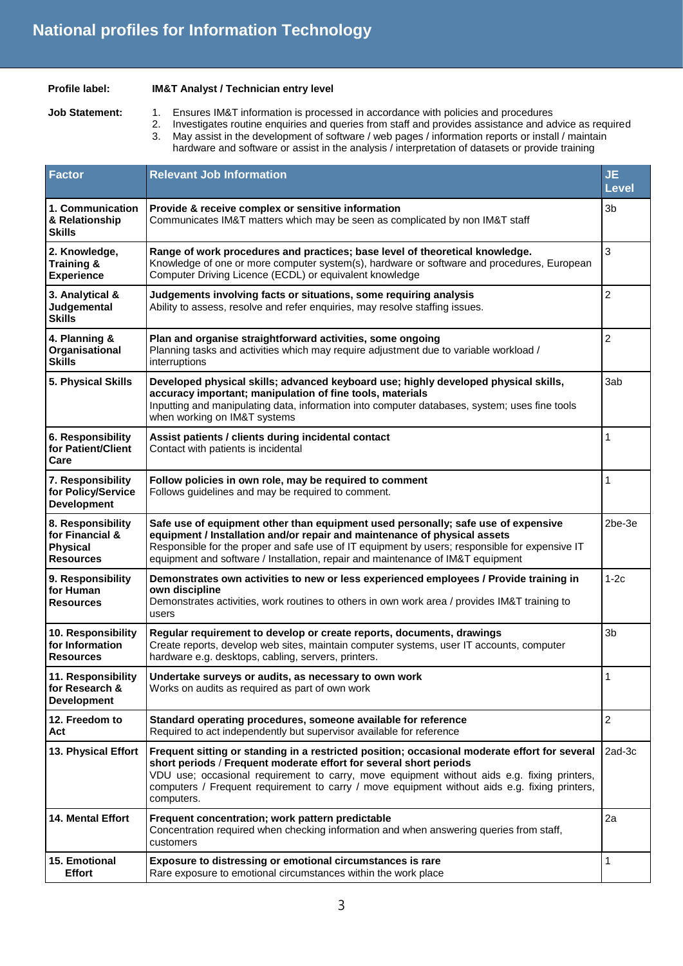#### **Profile label: IM&T Analyst / Technician entry level**

- 
- 
- **Job Statement:** 1. Ensures IM&T information is processed in accordance with policies and procedures
	- 2. Investigates routine enquiries and queries from staff and provides assistance and advice as required<br>3. May assist in the development of software (web pages (information reports or install (maintain May assist in the development of software / web pages / information reports or install / maintain hardware and software or assist in the analysis / interpretation of datasets or provide training
- **Factor Relevant Job Information JE Level 1. Communication & Relationship Skills Provide & receive complex or sensitive information** Communicates IM&T matters which may be seen as complicated by non IM&T staff 3b **2. Knowledge, Training & Experience Range of work procedures and practices; base level of theoretical knowledge.**  Knowledge of one or more computer system(s), hardware or software and procedures, European Computer Driving Licence (ECDL) or equivalent knowledge 3 **3. Analytical & Judgemental Skills Judgements involving facts or situations, some requiring analysis** Ability to assess, resolve and refer enquiries, may resolve staffing issues. 2 **4. Planning & Organisational Skills Plan and organise straightforward activities, some ongoing**  Planning tasks and activities which may require adjustment due to variable workload / interruptions 2 **5. Physical Skills Developed physical skills; advanced keyboard use; highly developed physical skills, accuracy important; manipulation of fine tools, materials**  Inputting and manipulating data, information into computer databases, system; uses fine tools when working on IM&T systems 3ab **6. Responsibility for Patient/Client Care Assist patients / clients during incidental contact**  Contact with patients is incidental 1 **7. Responsibility for Policy/Service Development Follow policies in own role, may be required to comment** Follows guidelines and may be required to comment. 1 **8. Responsibility for Financial & Physical Resources Safe use of equipment other than equipment used personally; safe use of expensive equipment / Installation and/or repair and maintenance of physical assets**  Responsible for the proper and safe use of IT equipment by users; responsible for expensive IT equipment and software / Installation, repair and maintenance of IM&T equipment 2be-3e **9. Responsibility for Human Resources Demonstrates own activities to new or less experienced employees / Provide training in own discipline**  Demonstrates activities, work routines to others in own work area / provides IM&T training to users 1-2c **10. Responsibility for Information Resources Regular requirement to develop or create reports, documents, drawings** Create reports, develop web sites, maintain computer systems, user IT accounts, computer hardware e.g. desktops, cabling, servers, printers. 3b **11. Responsibility for Research & Development Undertake surveys or audits, as necessary to own work** Works on audits as required as part of own work 1 **12. Freedom to Act Standard operating procedures, someone available for reference**  Required to act independently but supervisor available for reference 2 **13. Physical Effort Frequent sitting or standing in a restricted position; occasional moderate effort for several short periods** / **Frequent moderate effort for several short periods**  VDU use; occasional requirement to carry, move equipment without aids e.g. fixing printers, computers / Frequent requirement to carry / move equipment without aids e.g. fixing printers, computers. 2ad-3c **14. Mental Effort Frequent concentration; work pattern predictable**  Concentration required when checking information and when answering queries from staff, customers 2a **15. Emotional Effort Exposure to distressing or emotional circumstances is rare** Rare exposure to emotional circumstances within the work place 1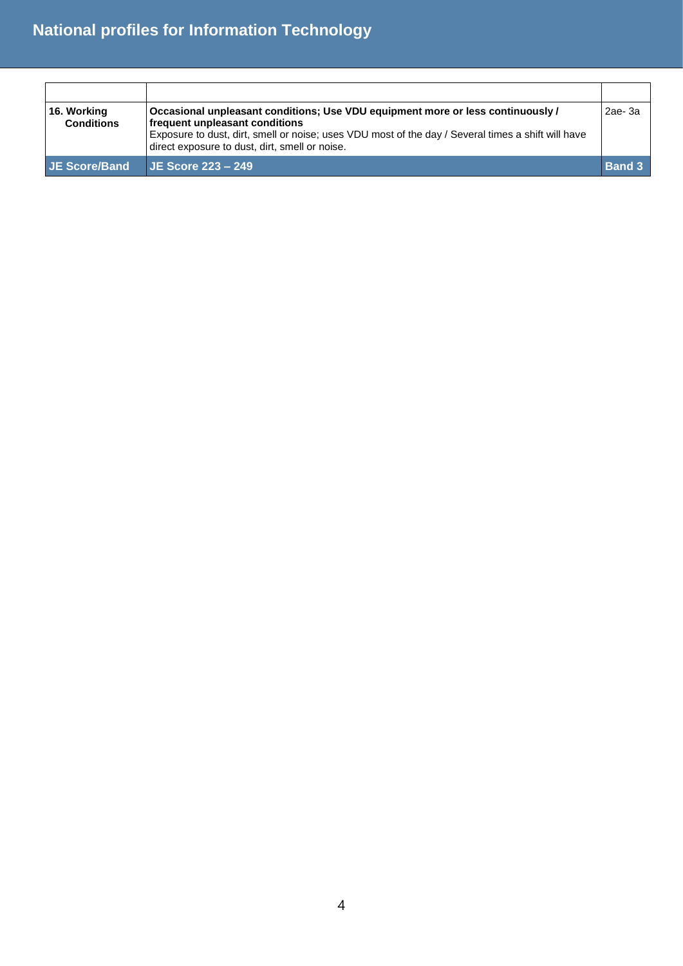| 16. Working<br><b>Conditions</b> | Occasional unpleasant conditions; Use VDU equipment more or less continuously /<br>frequent unpleasant conditions<br>Exposure to dust, dirt, smell or noise; uses VDU most of the day / Several times a shift will have<br>direct exposure to dust, dirt, smell or noise. | $2ae-3a$      |
|----------------------------------|---------------------------------------------------------------------------------------------------------------------------------------------------------------------------------------------------------------------------------------------------------------------------|---------------|
| JE Score/Band                    | $JE$ Score 223 – 249                                                                                                                                                                                                                                                      | <b>Band 3</b> |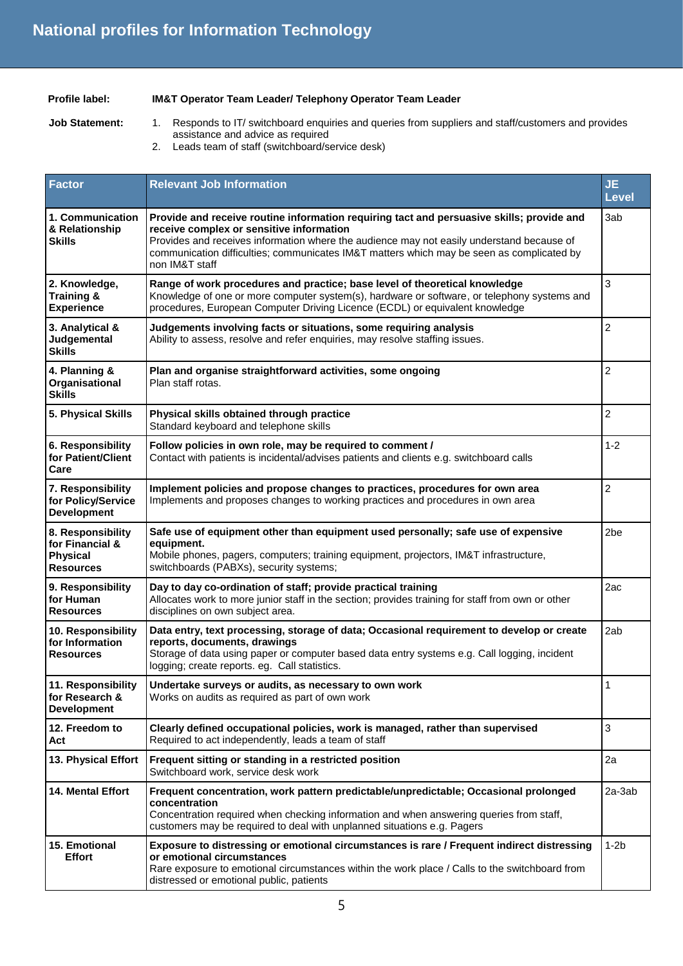### **Profile label: IM&T Operator Team Leader/ Telephony Operator Team Leader**

- 
- **Job Statement:** 1. Responds to IT/ switchboard enquiries and queries from suppliers and staff/customers and provides assistance and advice as required
	- 2. Leads team of staff (switchboard/service desk)

| <b>Factor</b>                                                               | <b>Relevant Job Information</b>                                                                                                                                                                                                                                                                                                                   | <b>JE</b><br><b>Level</b> |
|-----------------------------------------------------------------------------|---------------------------------------------------------------------------------------------------------------------------------------------------------------------------------------------------------------------------------------------------------------------------------------------------------------------------------------------------|---------------------------|
| 1. Communication<br>& Relationship<br><b>Skills</b>                         | Provide and receive routine information requiring tact and persuasive skills; provide and<br>receive complex or sensitive information<br>Provides and receives information where the audience may not easily understand because of<br>communication difficulties; communicates IM&T matters which may be seen as complicated by<br>non IM&T staff | 3ab                       |
| 2. Knowledge,<br><b>Training &amp;</b><br><b>Experience</b>                 | Range of work procedures and practice; base level of theoretical knowledge<br>Knowledge of one or more computer system(s), hardware or software, or telephony systems and<br>procedures, European Computer Driving Licence (ECDL) or equivalent knowledge                                                                                         | 3                         |
| 3. Analytical &<br>Judgemental<br><b>Skills</b>                             | Judgements involving facts or situations, some requiring analysis<br>Ability to assess, resolve and refer enquiries, may resolve staffing issues.                                                                                                                                                                                                 | 2                         |
| 4. Planning &<br>Organisational<br><b>Skills</b>                            | Plan and organise straightforward activities, some ongoing<br>Plan staff rotas.                                                                                                                                                                                                                                                                   | $\overline{c}$            |
| 5. Physical Skills                                                          | Physical skills obtained through practice<br>Standard keyboard and telephone skills                                                                                                                                                                                                                                                               | $\overline{2}$            |
| 6. Responsibility<br>for Patient/Client<br>Care                             | Follow policies in own role, may be required to comment /<br>Contact with patients is incidental/advises patients and clients e.g. switchboard calls                                                                                                                                                                                              | $1 - 2$                   |
| 7. Responsibility<br>for Policy/Service<br><b>Development</b>               | Implement policies and propose changes to practices, procedures for own area<br>Implements and proposes changes to working practices and procedures in own area                                                                                                                                                                                   | $\overline{c}$            |
| 8. Responsibility<br>for Financial &<br><b>Physical</b><br><b>Resources</b> | Safe use of equipment other than equipment used personally; safe use of expensive<br>equipment.<br>Mobile phones, pagers, computers; training equipment, projectors, IM&T infrastructure,<br>switchboards (PABXs), security systems;                                                                                                              | 2be                       |
| 9. Responsibility<br>for Human<br><b>Resources</b>                          | Day to day co-ordination of staff; provide practical training<br>Allocates work to more junior staff in the section; provides training for staff from own or other<br>disciplines on own subject area.                                                                                                                                            | 2ac                       |
| 10. Responsibility<br>for Information<br><b>Resources</b>                   | Data entry, text processing, storage of data; Occasional requirement to develop or create<br>reports, documents, drawings<br>Storage of data using paper or computer based data entry systems e.g. Call logging, incident<br>logging; create reports. eg. Call statistics.                                                                        | 2ab                       |
| 11. Responsibility<br>for Research &<br><b>Development</b>                  | Undertake surveys or audits, as necessary to own work<br>Works on audits as required as part of own work                                                                                                                                                                                                                                          | 1                         |
| 12. Freedom to<br>Act                                                       | Clearly defined occupational policies, work is managed, rather than supervised<br>Required to act independently, leads a team of staff                                                                                                                                                                                                            | 3                         |
| 13. Physical Effort                                                         | Frequent sitting or standing in a restricted position<br>Switchboard work, service desk work                                                                                                                                                                                                                                                      | 2a                        |
| 14. Mental Effort                                                           | Frequent concentration, work pattern predictable/unpredictable; Occasional prolonged<br>concentration<br>Concentration required when checking information and when answering queries from staff,<br>customers may be required to deal with unplanned situations e.g. Pagers                                                                       | 2a-3ab                    |
| 15. Emotional<br><b>Effort</b>                                              | Exposure to distressing or emotional circumstances is rare / Frequent indirect distressing<br>or emotional circumstances<br>Rare exposure to emotional circumstances within the work place / Calls to the switchboard from<br>distressed or emotional public, patients                                                                            | $1-2b$                    |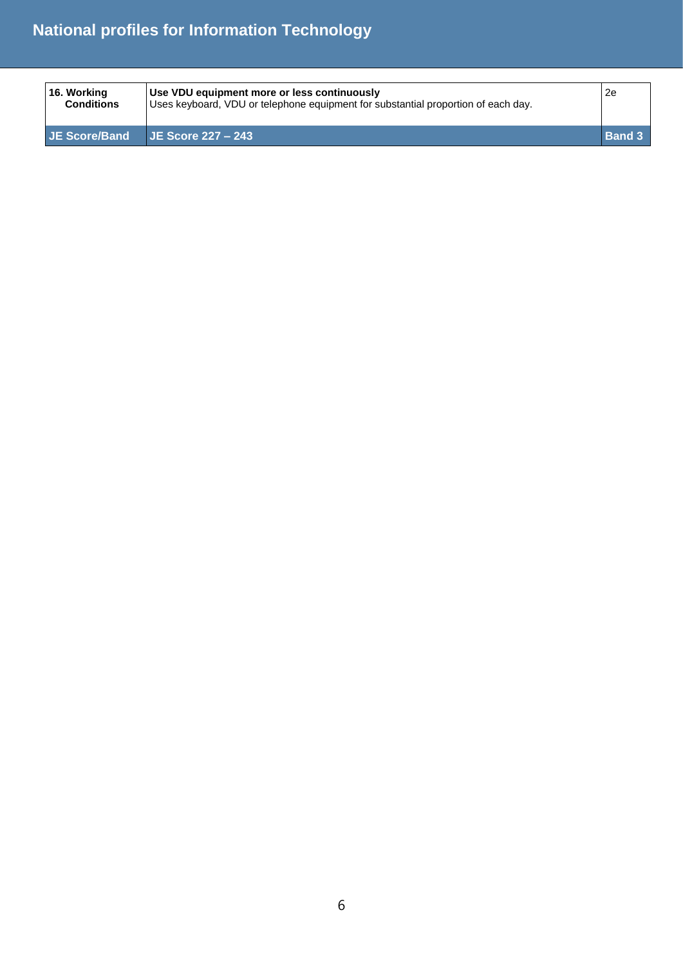| 16. Working<br><b>Conditions</b> | Use VDU equipment more or less continuously<br>Uses keyboard, VDU or telephone equipment for substantial proportion of each day. | 2e            |
|----------------------------------|----------------------------------------------------------------------------------------------------------------------------------|---------------|
| JE Score/Band                    | $\blacktriangleright$ JE Score 227 – 243                                                                                         | <b>Band 3</b> |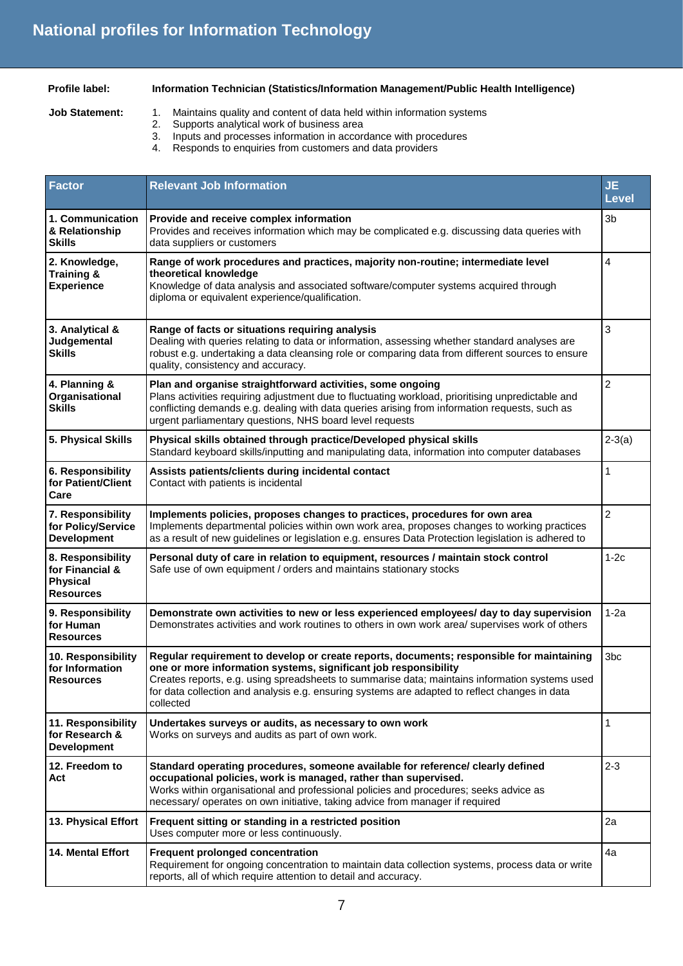### **Profile label: Information Technician (Statistics/Information Management/Public Health Intelligence)**

- 
- **Job Statement:** 1. Maintains quality and content of data held within information systems
	- 2. Supports analytical work of business area<br>3. Inputs and processes information in accord
	- 3. Inputs and processes information in accordance with procedures<br>4. Responds to enguiries from customers and data providers
		- Responds to enquiries from customers and data providers

| <b>Factor</b>                                                               | <b>Relevant Job Information</b>                                                                                                                                                                                                                                                                                                                                             | <b>JE</b><br><b>Level</b> |
|-----------------------------------------------------------------------------|-----------------------------------------------------------------------------------------------------------------------------------------------------------------------------------------------------------------------------------------------------------------------------------------------------------------------------------------------------------------------------|---------------------------|
| 1. Communication<br>& Relationship<br><b>Skills</b>                         | Provide and receive complex information<br>Provides and receives information which may be complicated e.g. discussing data queries with<br>data suppliers or customers                                                                                                                                                                                                      | 3 <sub>b</sub>            |
| 2. Knowledge,<br>Training &                                                 | Range of work procedures and practices, majority non-routine; intermediate level<br>theoretical knowledge                                                                                                                                                                                                                                                                   | 4                         |
| <b>Experience</b>                                                           | Knowledge of data analysis and associated software/computer systems acquired through<br>diploma or equivalent experience/qualification.                                                                                                                                                                                                                                     |                           |
| 3. Analytical &<br>Judgemental<br><b>Skills</b>                             | Range of facts or situations requiring analysis<br>Dealing with queries relating to data or information, assessing whether standard analyses are<br>robust e.g. undertaking a data cleansing role or comparing data from different sources to ensure<br>quality, consistency and accuracy.                                                                                  | 3                         |
| 4. Planning &<br>Organisational<br><b>Skills</b>                            | Plan and organise straightforward activities, some ongoing<br>Plans activities requiring adjustment due to fluctuating workload, prioritising unpredictable and<br>conflicting demands e.g. dealing with data queries arising from information requests, such as<br>urgent parliamentary questions, NHS board level requests                                                | $\overline{c}$            |
| 5. Physical Skills                                                          | Physical skills obtained through practice/Developed physical skills<br>Standard keyboard skills/inputting and manipulating data, information into computer databases                                                                                                                                                                                                        | $2-3(a)$                  |
| 6. Responsibility<br>for Patient/Client<br>Care                             | Assists patients/clients during incidental contact<br>Contact with patients is incidental                                                                                                                                                                                                                                                                                   | $\mathbf{1}$              |
| 7. Responsibility<br>for Policy/Service<br><b>Development</b>               | Implements policies, proposes changes to practices, procedures for own area<br>Implements departmental policies within own work area, proposes changes to working practices<br>as a result of new guidelines or legislation e.g. ensures Data Protection legislation is adhered to                                                                                          | $\overline{2}$            |
| 8. Responsibility<br>for Financial &<br><b>Physical</b><br><b>Resources</b> | Personal duty of care in relation to equipment, resources / maintain stock control<br>Safe use of own equipment / orders and maintains stationary stocks                                                                                                                                                                                                                    | $1-2c$                    |
| 9. Responsibility<br>for Human<br><b>Resources</b>                          | Demonstrate own activities to new or less experienced employees/ day to day supervision<br>Demonstrates activities and work routines to others in own work area/ supervises work of others                                                                                                                                                                                  | $1-2a$                    |
| 10. Responsibility<br>for Information<br><b>Resources</b>                   | Regular requirement to develop or create reports, documents; responsible for maintaining<br>one or more information systems, significant job responsibility<br>Creates reports, e.g. using spreadsheets to summarise data; maintains information systems used<br>for data collection and analysis e.g. ensuring systems are adapted to reflect changes in data<br>collected | 3 <sub>bc</sub>           |
| 11. Responsibility<br>for Research &<br><b>Development</b>                  | Undertakes surveys or audits, as necessary to own work<br>Works on surveys and audits as part of own work.                                                                                                                                                                                                                                                                  | $\mathbf{1}$              |
| 12. Freedom to<br>Act                                                       | Standard operating procedures, someone available for reference/ clearly defined<br>occupational policies, work is managed, rather than supervised.<br>Works within organisational and professional policies and procedures; seeks advice as<br>necessary/ operates on own initiative, taking advice from manager if required                                                | $2 - 3$                   |
| 13. Physical Effort                                                         | Frequent sitting or standing in a restricted position<br>Uses computer more or less continuously.                                                                                                                                                                                                                                                                           | 2a                        |
| <b>14. Mental Effort</b>                                                    | Frequent prolonged concentration<br>Requirement for ongoing concentration to maintain data collection systems, process data or write<br>reports, all of which require attention to detail and accuracy.                                                                                                                                                                     | 4a                        |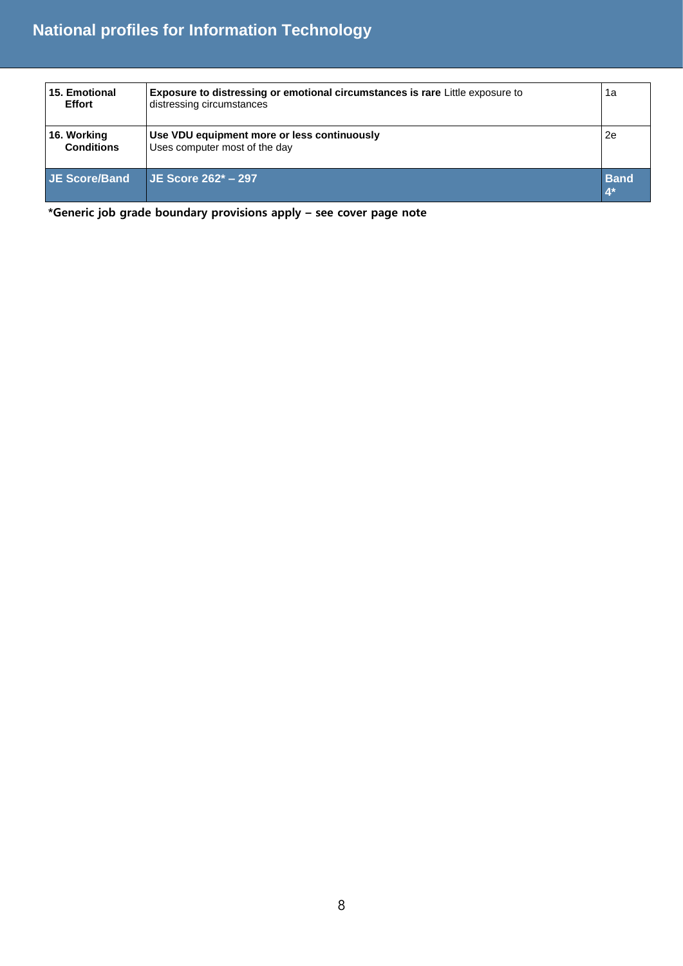| 15. Emotional<br><b>Effort</b>   | <b>Exposure to distressing or emotional circumstances is rare Little exposure to</b><br>distressing circumstances | 1a                   |
|----------------------------------|-------------------------------------------------------------------------------------------------------------------|----------------------|
| 16. Working<br><b>Conditions</b> | Use VDU equipment more or less continuously<br>Uses computer most of the day                                      | 2e                   |
| JE Score/Band                    | $JE$ Score 262* - 297                                                                                             | <b>Band</b><br>$4^*$ |

**\*Generic job grade boundary provisions apply – see cover page note**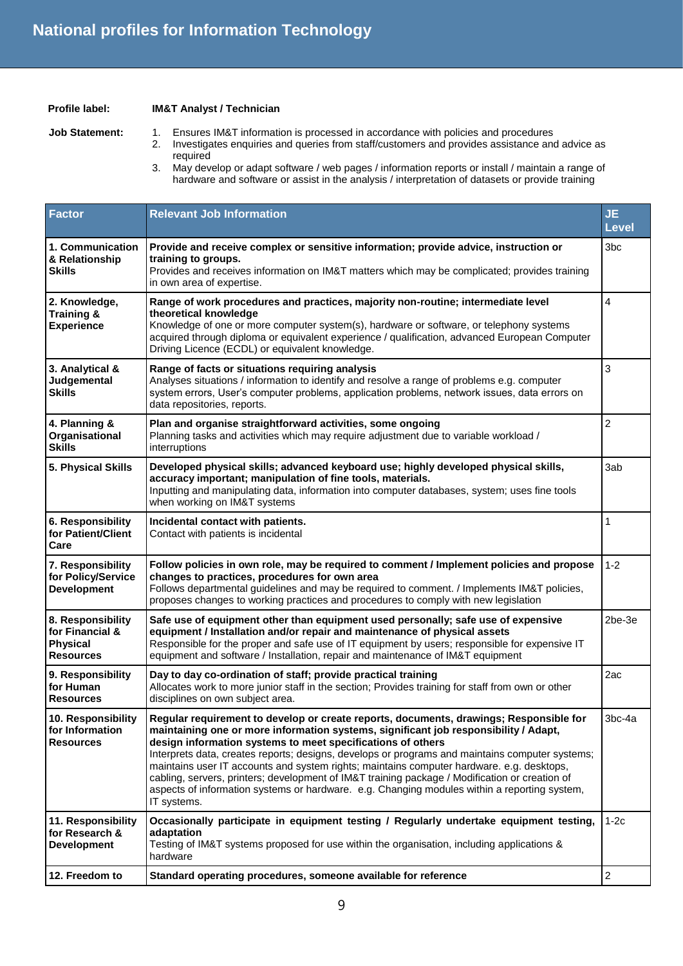#### **Profile label: IM&T Analyst / Technician**

- Job Statement: 1. Ensures IM&T information is processed in accordance with policies and procedures
	- 2. Investigates enquiries and queries from staff/customers and provides assistance and advice as required
	- 3. May develop or adapt software / web pages / information reports or install / maintain a range of hardware and software or assist in the analysis / interpretation of datasets or provide training

| <b>Factor</b>                                                               | <b>Relevant Job Information</b>                                                                                                                                                                                                                                                                                                                                                                                                                                                                                                                                                                                                                                | <b>JE</b><br><b>Level</b> |
|-----------------------------------------------------------------------------|----------------------------------------------------------------------------------------------------------------------------------------------------------------------------------------------------------------------------------------------------------------------------------------------------------------------------------------------------------------------------------------------------------------------------------------------------------------------------------------------------------------------------------------------------------------------------------------------------------------------------------------------------------------|---------------------------|
| 1. Communication<br>& Relationship<br><b>Skills</b>                         | Provide and receive complex or sensitive information; provide advice, instruction or<br>training to groups.<br>Provides and receives information on IM&T matters which may be complicated; provides training<br>in own area of expertise.                                                                                                                                                                                                                                                                                                                                                                                                                      | 3bc                       |
| 2. Knowledge,<br><b>Training &amp;</b><br><b>Experience</b>                 | Range of work procedures and practices, majority non-routine; intermediate level<br>theoretical knowledge<br>Knowledge of one or more computer system(s), hardware or software, or telephony systems<br>acquired through diploma or equivalent experience / qualification, advanced European Computer<br>Driving Licence (ECDL) or equivalent knowledge.                                                                                                                                                                                                                                                                                                       | $\overline{4}$            |
| 3. Analytical &<br>Judgemental<br><b>Skills</b>                             | Range of facts or situations requiring analysis<br>Analyses situations / information to identify and resolve a range of problems e.g. computer<br>system errors, User's computer problems, application problems, network issues, data errors on<br>data repositories, reports.                                                                                                                                                                                                                                                                                                                                                                                 | 3                         |
| 4. Planning &<br>Organisational<br><b>Skills</b>                            | Plan and organise straightforward activities, some ongoing<br>Planning tasks and activities which may require adjustment due to variable workload /<br>interruptions                                                                                                                                                                                                                                                                                                                                                                                                                                                                                           | $\overline{c}$            |
| 5. Physical Skills                                                          | Developed physical skills; advanced keyboard use; highly developed physical skills,<br>accuracy important; manipulation of fine tools, materials.<br>Inputting and manipulating data, information into computer databases, system; uses fine tools<br>when working on IM&T systems                                                                                                                                                                                                                                                                                                                                                                             | 3ab                       |
| 6. Responsibility<br>for Patient/Client<br>Care                             | Incidental contact with patients.<br>Contact with patients is incidental                                                                                                                                                                                                                                                                                                                                                                                                                                                                                                                                                                                       | $\mathbf{1}$              |
| 7. Responsibility<br>for Policy/Service<br><b>Development</b>               | Follow policies in own role, may be required to comment / Implement policies and propose<br>changes to practices, procedures for own area<br>Follows departmental guidelines and may be required to comment. / Implements IM&T policies,<br>proposes changes to working practices and procedures to comply with new legislation                                                                                                                                                                                                                                                                                                                                | $1 - 2$                   |
| 8. Responsibility<br>for Financial &<br><b>Physical</b><br><b>Resources</b> | Safe use of equipment other than equipment used personally; safe use of expensive<br>equipment / Installation and/or repair and maintenance of physical assets<br>Responsible for the proper and safe use of IT equipment by users; responsible for expensive IT<br>equipment and software / Installation, repair and maintenance of IM&T equipment                                                                                                                                                                                                                                                                                                            | $2be-3e$                  |
| 9. Responsibility<br>for Human<br><b>Resources</b>                          | Day to day co-ordination of staff; provide practical training<br>Allocates work to more junior staff in the section; Provides training for staff from own or other<br>disciplines on own subject area.                                                                                                                                                                                                                                                                                                                                                                                                                                                         | 2ac                       |
| 10. Responsibility<br>for Information<br><b>Resources</b>                   | Regular requirement to develop or create reports, documents, drawings; Responsible for<br>maintaining one or more information systems, significant job responsibility / Adapt,<br>design information systems to meet specifications of others<br>Interprets data, creates reports; designs, develops or programs and maintains computer systems;<br>maintains user IT accounts and system rights; maintains computer hardware. e.g. desktops,<br>cabling, servers, printers; development of IM&T training package / Modification or creation of<br>aspects of information systems or hardware. e.g. Changing modules within a reporting system,<br>IT systems. | $3bc-4a$                  |
| 11. Responsibility<br>for Research &<br><b>Development</b>                  | Occasionally participate in equipment testing / Regularly undertake equipment testing,<br>adaptation<br>Testing of IM&T systems proposed for use within the organisation, including applications &<br>hardware                                                                                                                                                                                                                                                                                                                                                                                                                                                 | $1-2c$                    |
| 12. Freedom to                                                              | Standard operating procedures, someone available for reference                                                                                                                                                                                                                                                                                                                                                                                                                                                                                                                                                                                                 | $\overline{\mathbf{c}}$   |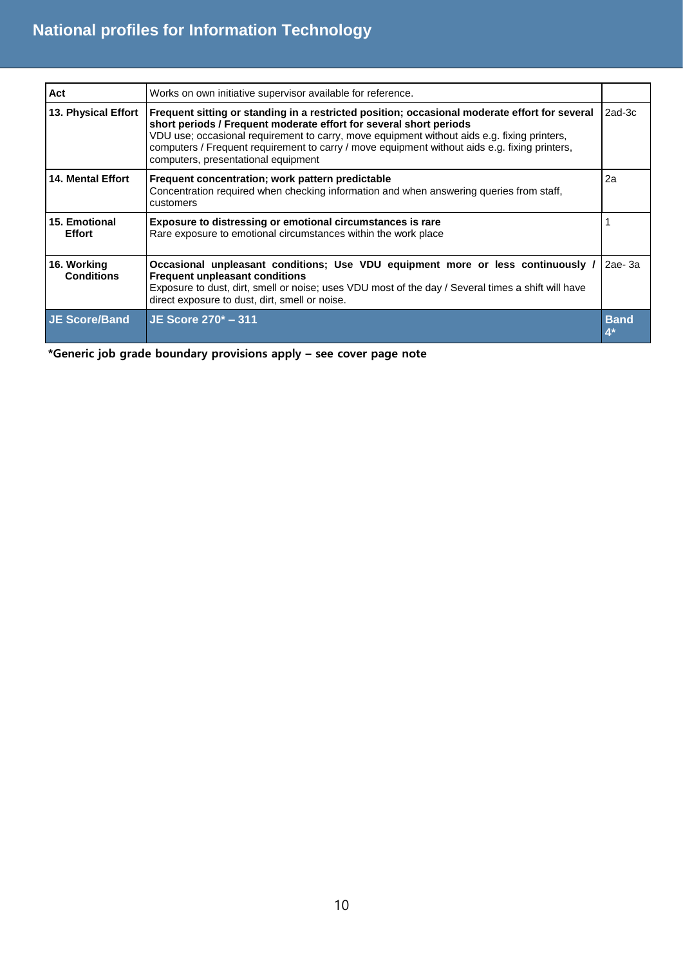| Act                              | Works on own initiative supervisor available for reference.                                                                                                                                                                                                                                                                                                                                                |             |
|----------------------------------|------------------------------------------------------------------------------------------------------------------------------------------------------------------------------------------------------------------------------------------------------------------------------------------------------------------------------------------------------------------------------------------------------------|-------------|
| 13. Physical Effort              | Frequent sitting or standing in a restricted position; occasional moderate effort for several<br>short periods / Frequent moderate effort for several short periods<br>VDU use; occasional requirement to carry, move equipment without aids e.g. fixing printers,<br>computers / Frequent requirement to carry / move equipment without aids e.g. fixing printers,<br>computers, presentational equipment | 2ad-3c      |
| <b>14. Mental Effort</b>         | Frequent concentration; work pattern predictable<br>Concentration required when checking information and when answering queries from staff,<br>customers                                                                                                                                                                                                                                                   | 2a          |
| 15. Emotional<br><b>Effort</b>   | Exposure to distressing or emotional circumstances is rare<br>Rare exposure to emotional circumstances within the work place                                                                                                                                                                                                                                                                               |             |
| 16. Working<br><b>Conditions</b> | Occasional unpleasant conditions; Use VDU equipment more or less continuously /<br><b>Frequent unpleasant conditions</b><br>Exposure to dust, dirt, smell or noise; uses VDU most of the day / Several times a shift will have<br>direct exposure to dust, dirt, smell or noise.                                                                                                                           | 2ae-3a      |
| <b>JE Score/Band</b>             | JE Score 270* - 311                                                                                                                                                                                                                                                                                                                                                                                        | <b>Band</b> |

**\*Generic job grade boundary provisions apply – see cover page note**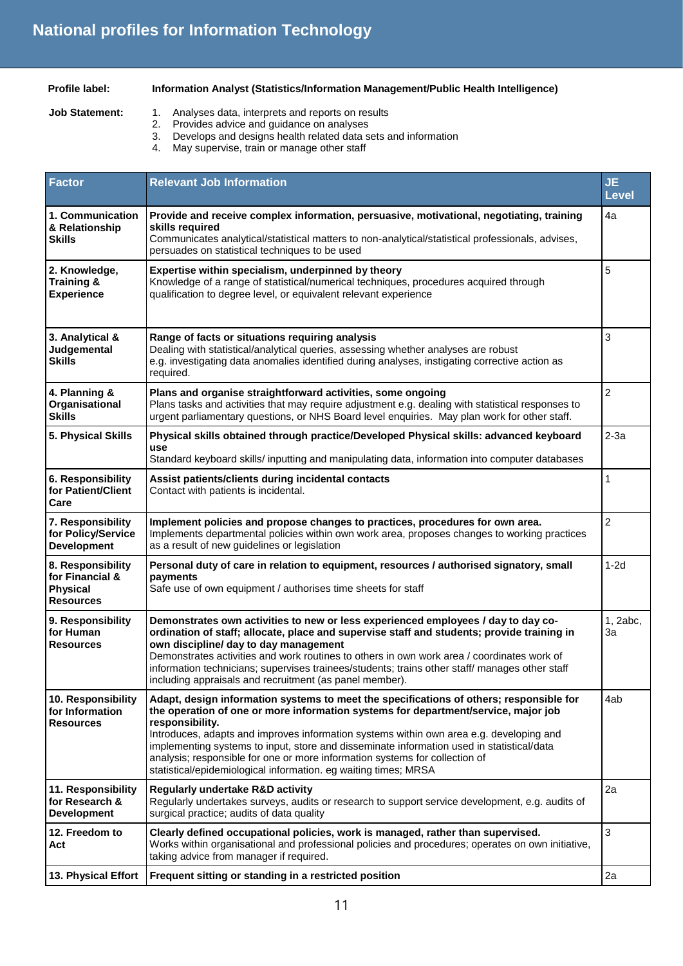- **Profile label: Information Analyst (Statistics/Information Management/Public Health Intelligence)**
- **Job Statement:** 1. Analyses data, interprets and reports on results
	- 2. Provides advice and guidance on analyses<br>3. Develops and designs health related data s
	- 3. Develops and designs health related data sets and information
	- May supervise, train or manage other staff

| <b>Factor</b>                                                               | <b>Relevant Job Information</b>                                                                                                                                                                                                                                                                                                                                                                                                                                                                                                            | <b>JE</b><br><b>Level</b> |
|-----------------------------------------------------------------------------|--------------------------------------------------------------------------------------------------------------------------------------------------------------------------------------------------------------------------------------------------------------------------------------------------------------------------------------------------------------------------------------------------------------------------------------------------------------------------------------------------------------------------------------------|---------------------------|
| 1. Communication<br>& Relationship<br>Skills                                | Provide and receive complex information, persuasive, motivational, negotiating, training<br>skills required<br>Communicates analytical/statistical matters to non-analytical/statistical professionals, advises,<br>persuades on statistical techniques to be used                                                                                                                                                                                                                                                                         | 4a                        |
| 2. Knowledge,<br>Training &<br><b>Experience</b>                            | Expertise within specialism, underpinned by theory<br>Knowledge of a range of statistical/numerical techniques, procedures acquired through<br>qualification to degree level, or equivalent relevant experience                                                                                                                                                                                                                                                                                                                            | 5                         |
| 3. Analytical &<br>Judgemental<br><b>Skills</b>                             | Range of facts or situations requiring analysis<br>Dealing with statistical/analytical queries, assessing whether analyses are robust<br>e.g. investigating data anomalies identified during analyses, instigating corrective action as<br>required.                                                                                                                                                                                                                                                                                       | 3                         |
| 4. Planning &<br>Organisational<br><b>Skills</b>                            | Plans and organise straightforward activities, some ongoing<br>Plans tasks and activities that may require adjustment e.g. dealing with statistical responses to<br>urgent parliamentary questions, or NHS Board level enquiries. May plan work for other staff.                                                                                                                                                                                                                                                                           | $\overline{2}$            |
| 5. Physical Skills                                                          | Physical skills obtained through practice/Developed Physical skills: advanced keyboard<br>use<br>Standard keyboard skills/inputting and manipulating data, information into computer databases                                                                                                                                                                                                                                                                                                                                             | $2-3a$                    |
| 6. Responsibility<br>for Patient/Client<br>Care                             | Assist patients/clients during incidental contacts<br>Contact with patients is incidental.                                                                                                                                                                                                                                                                                                                                                                                                                                                 | 1                         |
| 7. Responsibility<br>for Policy/Service<br><b>Development</b>               | Implement policies and propose changes to practices, procedures for own area.<br>Implements departmental policies within own work area, proposes changes to working practices<br>as a result of new guidelines or legislation                                                                                                                                                                                                                                                                                                              | $\overline{c}$            |
| 8. Responsibility<br>for Financial &<br><b>Physical</b><br><b>Resources</b> | Personal duty of care in relation to equipment, resources / authorised signatory, small<br>payments<br>Safe use of own equipment / authorises time sheets for staff                                                                                                                                                                                                                                                                                                                                                                        | $1-2d$                    |
| 9. Responsibility<br>for Human<br><b>Resources</b>                          | Demonstrates own activities to new or less experienced employees / day to day co-<br>ordination of staff; allocate, place and supervise staff and students; provide training in<br>own discipline/ day to day management<br>Demonstrates activities and work routines to others in own work area / coordinates work of<br>information technicians; supervises trainees/students; trains other staff/ manages other staff<br>including appraisals and recruitment (as panel member).                                                        | 1, 2abc,<br>3a            |
| 10. Responsibility<br>for Information<br><b>Resources</b>                   | Adapt, design information systems to meet the specifications of others; responsible for<br>the operation of one or more information systems for department/service, major job<br>responsibility.<br>Introduces, adapts and improves information systems within own area e.g. developing and<br>implementing systems to input, store and disseminate information used in statistical/data<br>analysis; responsible for one or more information systems for collection of<br>statistical/epidemiological information. eg waiting times; MRSA | 4ab                       |
| 11. Responsibility<br>for Research &<br><b>Development</b>                  | <b>Regularly undertake R&amp;D activity</b><br>Regularly undertakes surveys, audits or research to support service development, e.g. audits of<br>surgical practice; audits of data quality                                                                                                                                                                                                                                                                                                                                                | 2a                        |
| 12. Freedom to<br>Act                                                       | Clearly defined occupational policies, work is managed, rather than supervised.<br>Works within organisational and professional policies and procedures; operates on own initiative,<br>taking advice from manager if required.                                                                                                                                                                                                                                                                                                            | 3                         |
| 13. Physical Effort                                                         | Frequent sitting or standing in a restricted position                                                                                                                                                                                                                                                                                                                                                                                                                                                                                      | 2a                        |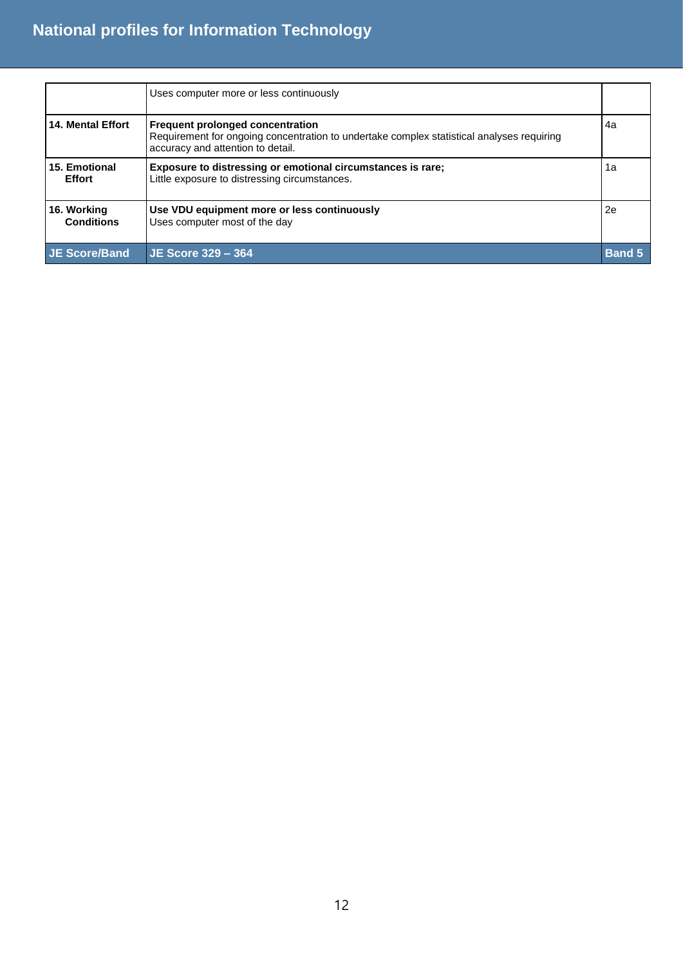|                                  | Uses computer more or less continuously                                                                                                                            |               |
|----------------------------------|--------------------------------------------------------------------------------------------------------------------------------------------------------------------|---------------|
| <b>14. Mental Effort</b>         | Frequent prolonged concentration<br>Requirement for ongoing concentration to undertake complex statistical analyses requiring<br>accuracy and attention to detail. | 4a            |
| 15. Emotional<br><b>Effort</b>   | Exposure to distressing or emotional circumstances is rare;<br>Little exposure to distressing circumstances.                                                       | 1a            |
| 16. Working<br><b>Conditions</b> | Use VDU equipment more or less continuously<br>Uses computer most of the day                                                                                       | 2e            |
| <b>JE Score/Band</b>             | $JE$ Score $329 - 364$                                                                                                                                             | <b>Band 5</b> |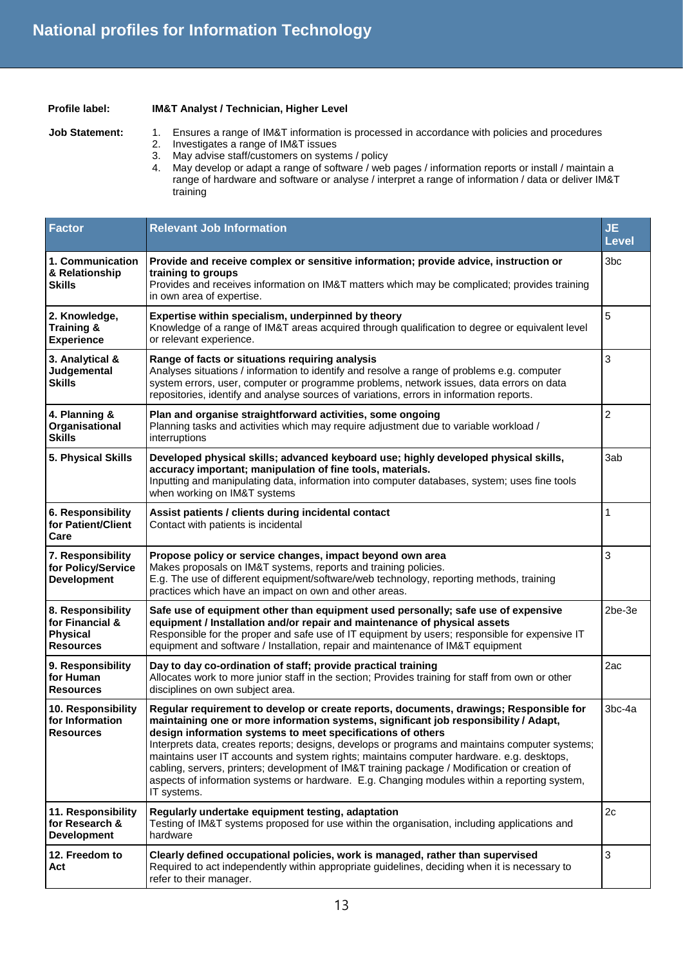#### **Profile label: IM&T Analyst / Technician, Higher Level**

- Job Statement: 1. Ensures a range of IM&T information is processed in accordance with policies and procedures 2. Investigates a range of IM&T issues
	- 3. May advise staff/customers on systems / policy
	- 4. May develop or adapt a range of software / web pages / information reports or install / maintain a range of hardware and software or analyse / interpret a range of information / data or deliver IM&T training

| <b>Factor</b>                                                               | <b>Relevant Job Information</b>                                                                                                                                                                                                                                                                                                                                                                                                                                                                                                                                                                                                                                | <b>JE</b><br><b>Level</b> |
|-----------------------------------------------------------------------------|----------------------------------------------------------------------------------------------------------------------------------------------------------------------------------------------------------------------------------------------------------------------------------------------------------------------------------------------------------------------------------------------------------------------------------------------------------------------------------------------------------------------------------------------------------------------------------------------------------------------------------------------------------------|---------------------------|
| 1. Communication<br>& Relationship<br><b>Skills</b>                         | Provide and receive complex or sensitive information; provide advice, instruction or<br>training to groups<br>Provides and receives information on IM&T matters which may be complicated; provides training<br>in own area of expertise.                                                                                                                                                                                                                                                                                                                                                                                                                       | 3bc                       |
| 2. Knowledge,<br>Training &<br><b>Experience</b>                            | Expertise within specialism, underpinned by theory<br>Knowledge of a range of IM&T areas acquired through qualification to degree or equivalent level<br>or relevant experience.                                                                                                                                                                                                                                                                                                                                                                                                                                                                               | 5                         |
| 3. Analytical &<br>Judgemental<br><b>Skills</b>                             | Range of facts or situations requiring analysis<br>Analyses situations / information to identify and resolve a range of problems e.g. computer<br>system errors, user, computer or programme problems, network issues, data errors on data<br>repositories, identify and analyse sources of variations, errors in information reports.                                                                                                                                                                                                                                                                                                                         | 3                         |
| 4. Planning &<br>Organisational<br><b>Skills</b>                            | Plan and organise straightforward activities, some ongoing<br>Planning tasks and activities which may require adjustment due to variable workload /<br>interruptions                                                                                                                                                                                                                                                                                                                                                                                                                                                                                           | $\overline{2}$            |
| 5. Physical Skills                                                          | Developed physical skills; advanced keyboard use; highly developed physical skills,<br>accuracy important; manipulation of fine tools, materials.<br>Inputting and manipulating data, information into computer databases, system; uses fine tools<br>when working on IM&T systems                                                                                                                                                                                                                                                                                                                                                                             | 3ab                       |
| 6. Responsibility<br>for Patient/Client<br>Care                             | Assist patients / clients during incidental contact<br>Contact with patients is incidental                                                                                                                                                                                                                                                                                                                                                                                                                                                                                                                                                                     | 1                         |
| 7. Responsibility<br>for Policy/Service<br><b>Development</b>               | Propose policy or service changes, impact beyond own area<br>Makes proposals on IM&T systems, reports and training policies.<br>E.g. The use of different equipment/software/web technology, reporting methods, training<br>practices which have an impact on own and other areas.                                                                                                                                                                                                                                                                                                                                                                             | 3                         |
| 8. Responsibility<br>for Financial &<br><b>Physical</b><br><b>Resources</b> | Safe use of equipment other than equipment used personally; safe use of expensive<br>equipment / Installation and/or repair and maintenance of physical assets<br>Responsible for the proper and safe use of IT equipment by users; responsible for expensive IT<br>equipment and software / Installation, repair and maintenance of IM&T equipment                                                                                                                                                                                                                                                                                                            | 2be-3e                    |
| 9. Responsibility<br>for Human<br><b>Resources</b>                          | Day to day co-ordination of staff; provide practical training<br>Allocates work to more junior staff in the section; Provides training for staff from own or other<br>disciplines on own subject area.                                                                                                                                                                                                                                                                                                                                                                                                                                                         | 2ac                       |
| 10. Responsibility<br>for Information<br><b>Resources</b>                   | Regular requirement to develop or create reports, documents, drawings; Responsible for<br>maintaining one or more information systems, significant job responsibility / Adapt,<br>design information systems to meet specifications of others<br>Interprets data, creates reports; designs, develops or programs and maintains computer systems;<br>maintains user IT accounts and system rights; maintains computer hardware. e.g. desktops,<br>cabling, servers, printers; development of IM&T training package / Modification or creation of<br>aspects of information systems or hardware. E.g. Changing modules within a reporting system,<br>IT systems. | 3bc-4a                    |
| 11. Responsibility<br>for Research &<br><b>Development</b>                  | Regularly undertake equipment testing, adaptation<br>Testing of IM&T systems proposed for use within the organisation, including applications and<br>hardware                                                                                                                                                                                                                                                                                                                                                                                                                                                                                                  | 2c                        |
| 12. Freedom to<br>Act                                                       | Clearly defined occupational policies, work is managed, rather than supervised<br>Required to act independently within appropriate guidelines, deciding when it is necessary to<br>refer to their manager.                                                                                                                                                                                                                                                                                                                                                                                                                                                     | 3                         |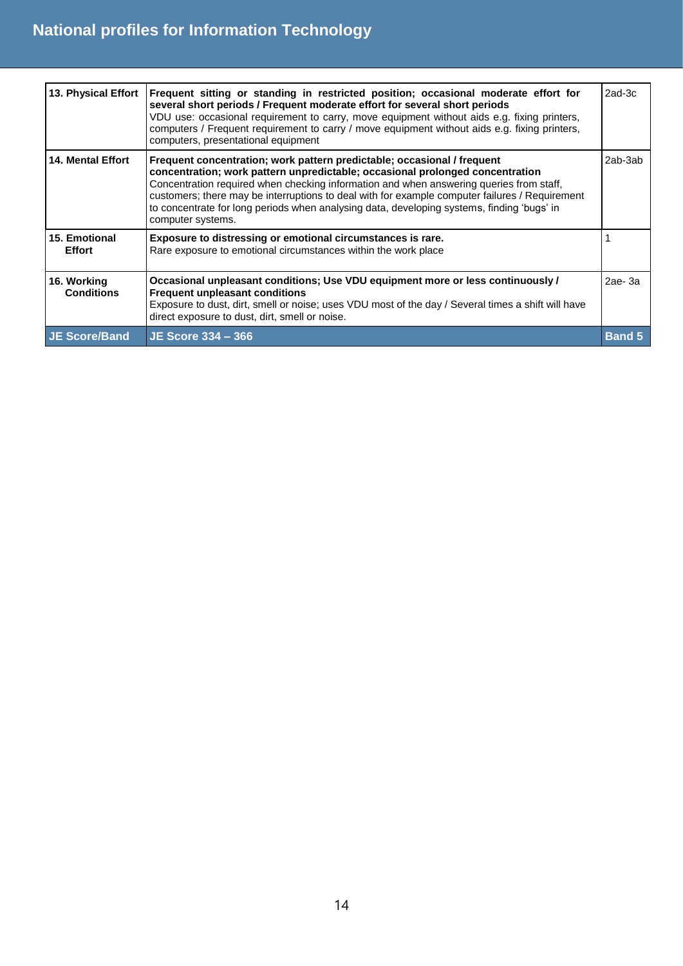| 13. Physical Effort              | Frequent sitting or standing in restricted position; occasional moderate effort for<br>several short periods / Frequent moderate effort for several short periods<br>VDU use: occasional requirement to carry, move equipment without aids e.g. fixing printers,<br>computers / Frequent requirement to carry / move equipment without aids e.g. fixing printers,<br>computers, presentational equipment                                                                 | $2ad-3c$      |
|----------------------------------|--------------------------------------------------------------------------------------------------------------------------------------------------------------------------------------------------------------------------------------------------------------------------------------------------------------------------------------------------------------------------------------------------------------------------------------------------------------------------|---------------|
| <b>14. Mental Effort</b>         | Frequent concentration; work pattern predictable; occasional / frequent<br>concentration; work pattern unpredictable; occasional prolonged concentration<br>Concentration required when checking information and when answering queries from staff,<br>customers; there may be interruptions to deal with for example computer failures / Requirement<br>to concentrate for long periods when analysing data, developing systems, finding 'bugs' in<br>computer systems. | 2ab-3ab       |
| 15. Emotional<br><b>Effort</b>   | Exposure to distressing or emotional circumstances is rare.<br>Rare exposure to emotional circumstances within the work place                                                                                                                                                                                                                                                                                                                                            |               |
| 16. Working<br><b>Conditions</b> | Occasional unpleasant conditions; Use VDU equipment more or less continuously /<br><b>Frequent unpleasant conditions</b><br>Exposure to dust, dirt, smell or noise; uses VDU most of the day / Several times a shift will have<br>direct exposure to dust, dirt, smell or noise.                                                                                                                                                                                         | 2ae-3a        |
| <b>JE Score/Band</b>             | JE Score 334 – 366                                                                                                                                                                                                                                                                                                                                                                                                                                                       | <b>Band 5</b> |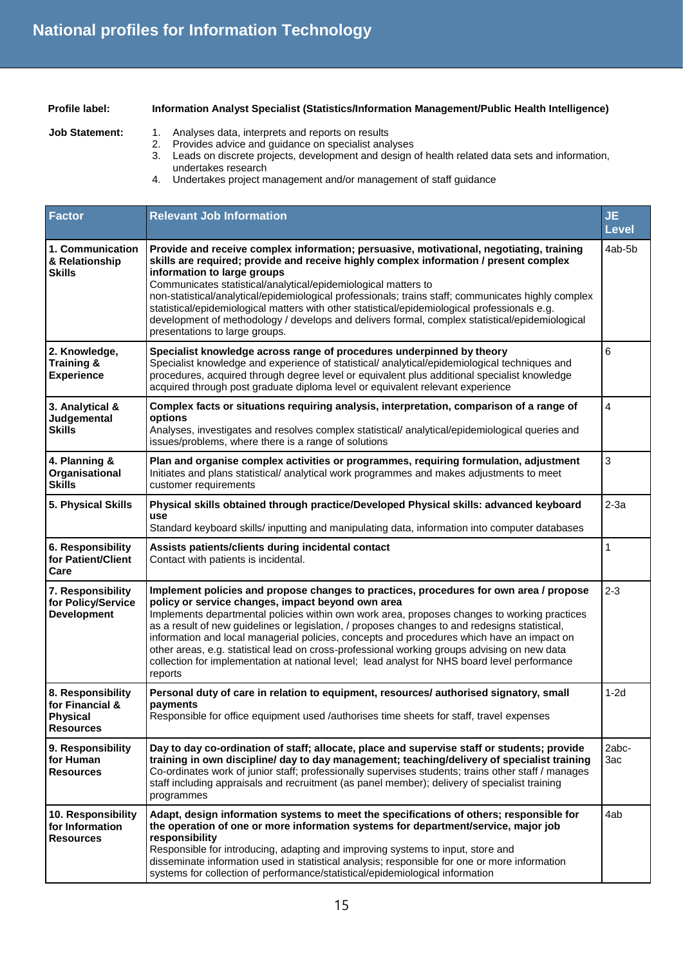#### **Profile label: Information Analyst Specialist (Statistics/Information Management/Public Health Intelligence)**

- Job Statement: 1. Analyses data, interprets and reports on results
	- 2. Provides advice and guidance on specialist analyses
	- 3. Leads on discrete projects, development and design of health related data sets and information, undertakes research
	- 4. Undertakes project management and/or management of staff guidance

| <b>Factor</b>                                                               | <b>Relevant Job Information</b>                                                                                                                                                                                                                                                                                                                                                                                                                                                                                                                                                                                                                         | <b>JE</b><br><b>Level</b> |
|-----------------------------------------------------------------------------|---------------------------------------------------------------------------------------------------------------------------------------------------------------------------------------------------------------------------------------------------------------------------------------------------------------------------------------------------------------------------------------------------------------------------------------------------------------------------------------------------------------------------------------------------------------------------------------------------------------------------------------------------------|---------------------------|
| 1. Communication<br>& Relationship<br><b>Skills</b>                         | Provide and receive complex information; persuasive, motivational, negotiating, training<br>skills are required; provide and receive highly complex information / present complex<br>information to large groups<br>Communicates statistical/analytical/epidemiological matters to<br>non-statistical/analytical/epidemiological professionals; trains staff; communicates highly complex<br>statistical/epidemiological matters with other statistical/epidemiological professionals e.g.<br>development of methodology / develops and delivers formal, complex statistical/epidemiological<br>presentations to large groups.                          | 4ab-5b                    |
| 2. Knowledge,<br><b>Training &amp;</b><br><b>Experience</b>                 | Specialist knowledge across range of procedures underpinned by theory<br>Specialist knowledge and experience of statistical/ analytical/epidemiological techniques and<br>procedures, acquired through degree level or equivalent plus additional specialist knowledge<br>acquired through post graduate diploma level or equivalent relevant experience                                                                                                                                                                                                                                                                                                | 6                         |
| 3. Analytical &<br>Judgemental<br><b>Skills</b>                             | Complex facts or situations requiring analysis, interpretation, comparison of a range of<br>options<br>Analyses, investigates and resolves complex statistical/ analytical/epidemiological queries and<br>issues/problems, where there is a range of solutions                                                                                                                                                                                                                                                                                                                                                                                          | 4                         |
| 4. Planning &<br>Organisational<br><b>Skills</b>                            | Plan and organise complex activities or programmes, requiring formulation, adjustment<br>Initiates and plans statistical/ analytical work programmes and makes adjustments to meet<br>customer requirements                                                                                                                                                                                                                                                                                                                                                                                                                                             | 3                         |
| 5. Physical Skills                                                          | Physical skills obtained through practice/Developed Physical skills: advanced keyboard<br>use<br>Standard keyboard skills/inputting and manipulating data, information into computer databases                                                                                                                                                                                                                                                                                                                                                                                                                                                          | $2-3a$                    |
| 6. Responsibility<br>for Patient/Client<br>Care                             | Assists patients/clients during incidental contact<br>Contact with patients is incidental.                                                                                                                                                                                                                                                                                                                                                                                                                                                                                                                                                              | 1                         |
| 7. Responsibility<br>for Policy/Service<br><b>Development</b>               | Implement policies and propose changes to practices, procedures for own area / propose<br>policy or service changes, impact beyond own area<br>Implements departmental policies within own work area, proposes changes to working practices<br>as a result of new guidelines or legislation, / proposes changes to and redesigns statistical,<br>information and local managerial policies, concepts and procedures which have an impact on<br>other areas, e.g. statistical lead on cross-professional working groups advising on new data<br>collection for implementation at national level; lead analyst for NHS board level performance<br>reports | $2 - 3$                   |
| 8. Responsibility<br>for Financial &<br><b>Physical</b><br><b>Resources</b> | Personal duty of care in relation to equipment, resources/ authorised signatory, small<br>payments<br>Responsible for office equipment used /authorises time sheets for staff, travel expenses                                                                                                                                                                                                                                                                                                                                                                                                                                                          | $1-2d$                    |
| 9. Responsibility<br>for Human<br><b>Resources</b>                          | Day to day co-ordination of staff; allocate, place and supervise staff or students; provide<br>training in own discipline/ day to day management; teaching/delivery of specialist training<br>Co-ordinates work of junior staff; professionally supervises students; trains other staff / manages<br>staff including appraisals and recruitment (as panel member); delivery of specialist training<br>programmes                                                                                                                                                                                                                                        | 2abc-<br>3ac              |
| 10. Responsibility<br>for Information<br><b>Resources</b>                   | Adapt, design information systems to meet the specifications of others; responsible for<br>the operation of one or more information systems for department/service, major job<br>responsibility<br>Responsible for introducing, adapting and improving systems to input, store and<br>disseminate information used in statistical analysis; responsible for one or more information<br>systems for collection of performance/statistical/epidemiological information                                                                                                                                                                                    | 4ab                       |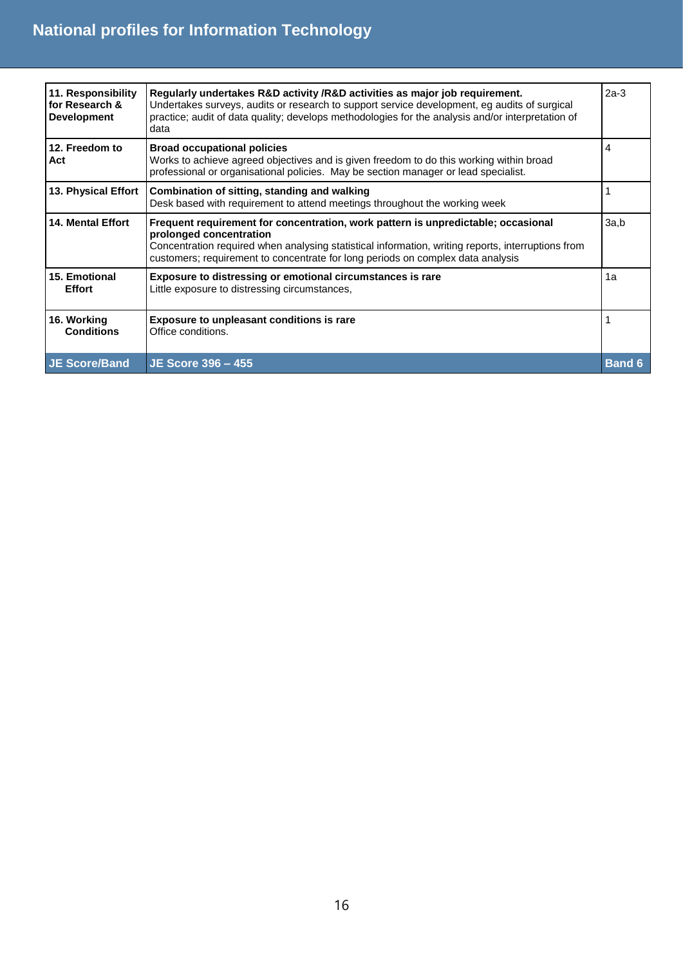| 11. Responsibility<br>for Research &<br><b>Development</b> | Regularly undertakes R&D activity /R&D activities as major job requirement.<br>Undertakes surveys, audits or research to support service development, eg audits of surgical<br>practice; audit of data quality; develops methodologies for the analysis and/or interpretation of<br>data              | $2a-3$        |
|------------------------------------------------------------|-------------------------------------------------------------------------------------------------------------------------------------------------------------------------------------------------------------------------------------------------------------------------------------------------------|---------------|
| 12. Freedom to<br>Act                                      | <b>Broad occupational policies</b><br>Works to achieve agreed objectives and is given freedom to do this working within broad<br>professional or organisational policies. May be section manager or lead specialist.                                                                                  | 4             |
| 13. Physical Effort                                        | Combination of sitting, standing and walking<br>Desk based with requirement to attend meetings throughout the working week                                                                                                                                                                            |               |
| <b>14. Mental Effort</b>                                   | Frequent requirement for concentration, work pattern is unpredictable; occasional<br>prolonged concentration<br>Concentration required when analysing statistical information, writing reports, interruptions from<br>customers; requirement to concentrate for long periods on complex data analysis | 3a,b          |
| 15. Emotional<br><b>Effort</b>                             | Exposure to distressing or emotional circumstances is rare<br>Little exposure to distressing circumstances,                                                                                                                                                                                           | 1a            |
| 16. Working<br><b>Conditions</b>                           | <b>Exposure to unpleasant conditions is rare</b><br>Office conditions.                                                                                                                                                                                                                                |               |
| <b>JE Score/Band</b>                                       | JE Score 396 - 455                                                                                                                                                                                                                                                                                    | <b>Band 6</b> |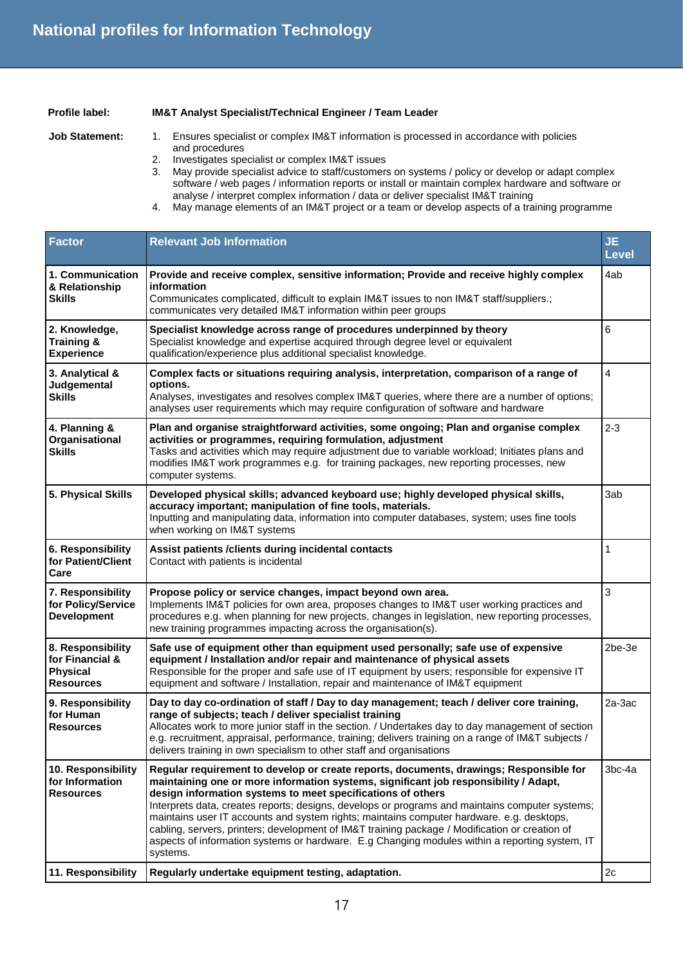### **Profile label: IM&T Analyst Specialist/Technical Engineer / Team Leader**

- **Job Statement:** 1. Ensures specialist or complex IM&T information is processed in accordance with policies and procedures
	- 2. Investigates specialist or complex IM&T issues
	- 3. May provide specialist advice to staff/customers on systems / policy or develop or adapt complex software / web pages / information reports or install or maintain complex hardware and software or analyse / interpret complex information / data or deliver specialist IM&T training
	- 4. May manage elements of an IM&T project or a team or develop aspects of a training programme

| <b>Factor</b>                                                               | <b>Relevant Job Information</b>                                                                                                                                                                                                                                                                                                                                                                                                                                                                                                                                                                                                                               | <b>JE</b><br><b>Level</b> |
|-----------------------------------------------------------------------------|---------------------------------------------------------------------------------------------------------------------------------------------------------------------------------------------------------------------------------------------------------------------------------------------------------------------------------------------------------------------------------------------------------------------------------------------------------------------------------------------------------------------------------------------------------------------------------------------------------------------------------------------------------------|---------------------------|
| 1. Communication<br>& Relationship<br><b>Skills</b>                         | Provide and receive complex, sensitive information; Provide and receive highly complex<br>information<br>Communicates complicated, difficult to explain IM&T issues to non IM&T staff/suppliers.;<br>communicates very detailed IM&T information within peer groups                                                                                                                                                                                                                                                                                                                                                                                           | 4ab                       |
| 2. Knowledge,<br><b>Training &amp;</b><br><b>Experience</b>                 | Specialist knowledge across range of procedures underpinned by theory<br>Specialist knowledge and expertise acquired through degree level or equivalent<br>qualification/experience plus additional specialist knowledge.                                                                                                                                                                                                                                                                                                                                                                                                                                     | 6                         |
| 3. Analytical &<br>Judgemental<br><b>Skills</b>                             | Complex facts or situations requiring analysis, interpretation, comparison of a range of<br>options.<br>Analyses, investigates and resolves complex IM&T queries, where there are a number of options;<br>analyses user requirements which may require configuration of software and hardware                                                                                                                                                                                                                                                                                                                                                                 | 4                         |
| 4. Planning &<br>Organisational<br><b>Skills</b>                            | Plan and organise straightforward activities, some ongoing; Plan and organise complex<br>activities or programmes, requiring formulation, adjustment<br>Tasks and activities which may require adjustment due to variable workload; Initiates plans and<br>modifies IM&T work programmes e.g. for training packages, new reporting processes, new<br>computer systems.                                                                                                                                                                                                                                                                                        | $2 - 3$                   |
| 5. Physical Skills                                                          | Developed physical skills; advanced keyboard use; highly developed physical skills,<br>accuracy important; manipulation of fine tools, materials.<br>Inputting and manipulating data, information into computer databases, system; uses fine tools<br>when working on IM&T systems                                                                                                                                                                                                                                                                                                                                                                            | 3ab                       |
| 6. Responsibility<br>for Patient/Client<br>Care                             | Assist patients /clients during incidental contacts<br>Contact with patients is incidental                                                                                                                                                                                                                                                                                                                                                                                                                                                                                                                                                                    | $\mathbf{1}$              |
| 7. Responsibility<br>for Policy/Service<br><b>Development</b>               | Propose policy or service changes, impact beyond own area.<br>Implements IM&T policies for own area, proposes changes to IM&T user working practices and<br>procedures e.g. when planning for new projects, changes in legislation, new reporting processes,<br>new training programmes impacting across the organisation(s).                                                                                                                                                                                                                                                                                                                                 | 3                         |
| 8. Responsibility<br>for Financial &<br><b>Physical</b><br><b>Resources</b> | Safe use of equipment other than equipment used personally; safe use of expensive<br>equipment / Installation and/or repair and maintenance of physical assets<br>Responsible for the proper and safe use of IT equipment by users; responsible for expensive IT<br>equipment and software / Installation, repair and maintenance of IM&T equipment                                                                                                                                                                                                                                                                                                           | $2be-3e$                  |
| 9. Responsibility<br>for Human<br><b>Resources</b>                          | Day to day co-ordination of staff / Day to day management; teach / deliver core training,<br>range of subjects; teach / deliver specialist training<br>Allocates work to more junior staff in the section. / Undertakes day to day management of section<br>e.g. recruitment, appraisal, performance, training; delivers training on a range of IM&T subjects /<br>delivers training in own specialism to other staff and organisations                                                                                                                                                                                                                       | 2a-3ac                    |
| 10. Responsibility<br>for Information<br><b>Resources</b>                   | Regular requirement to develop or create reports, documents, drawings; Responsible for<br>maintaining one or more information systems, significant job responsibility / Adapt,<br>design information systems to meet specifications of others<br>Interprets data, creates reports; designs, develops or programs and maintains computer systems;<br>maintains user IT accounts and system rights; maintains computer hardware. e.g. desktops,<br>cabling, servers, printers; development of IM&T training package / Modification or creation of<br>aspects of information systems or hardware. E.g Changing modules within a reporting system, IT<br>systems. | $3bc-4a$                  |
| 11. Responsibility                                                          | Regularly undertake equipment testing, adaptation.                                                                                                                                                                                                                                                                                                                                                                                                                                                                                                                                                                                                            | 2c                        |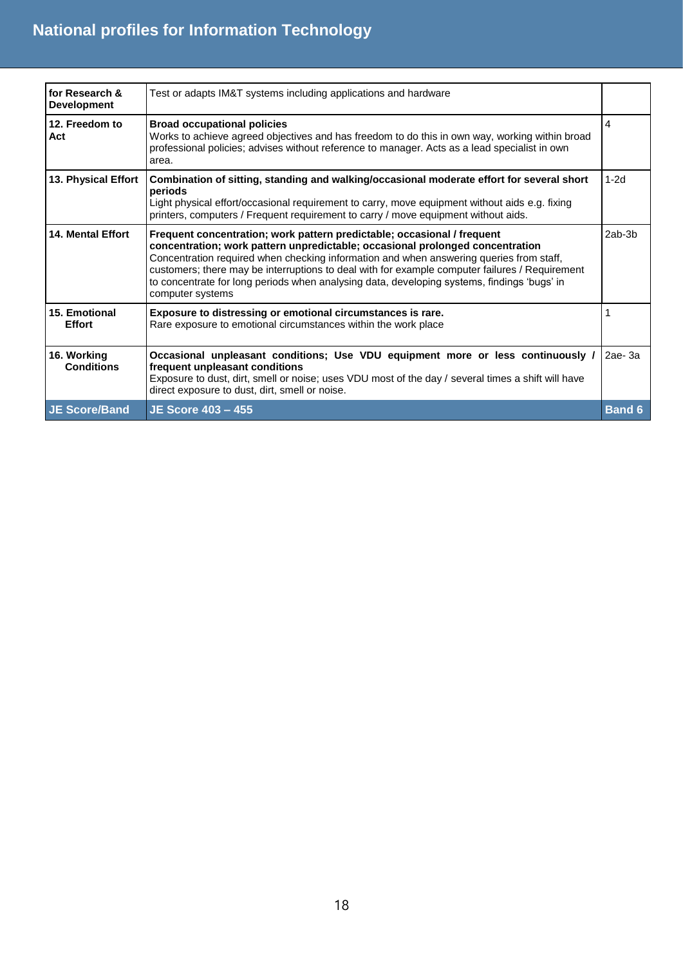| for Research &<br><b>Development</b> | Test or adapts IM&T systems including applications and hardware                                                                                                                                                                                                                                                                                                                                                                                                          |               |
|--------------------------------------|--------------------------------------------------------------------------------------------------------------------------------------------------------------------------------------------------------------------------------------------------------------------------------------------------------------------------------------------------------------------------------------------------------------------------------------------------------------------------|---------------|
| 12. Freedom to<br>Act                | <b>Broad occupational policies</b><br>Works to achieve agreed objectives and has freedom to do this in own way, working within broad<br>professional policies; advises without reference to manager. Acts as a lead specialist in own<br>area.                                                                                                                                                                                                                           | 4             |
| 13. Physical Effort                  | Combination of sitting, standing and walking/occasional moderate effort for several short<br>periods<br>Light physical effort/occasional requirement to carry, move equipment without aids e.g. fixing<br>printers, computers / Frequent requirement to carry / move equipment without aids.                                                                                                                                                                             | $1-2d$        |
| <b>14. Mental Effort</b>             | Frequent concentration; work pattern predictable; occasional / frequent<br>concentration; work pattern unpredictable; occasional prolonged concentration<br>Concentration required when checking information and when answering queries from staff,<br>customers; there may be interruptions to deal with for example computer failures / Requirement<br>to concentrate for long periods when analysing data, developing systems, findings 'bugs' in<br>computer systems | $2ab-3b$      |
| 15. Emotional<br><b>Effort</b>       | Exposure to distressing or emotional circumstances is rare.<br>Rare exposure to emotional circumstances within the work place                                                                                                                                                                                                                                                                                                                                            |               |
| 16. Working<br><b>Conditions</b>     | Occasional unpleasant conditions; Use VDU equipment more or less continuously /<br>frequent unpleasant conditions<br>Exposure to dust, dirt, smell or noise; uses VDU most of the day / several times a shift will have<br>direct exposure to dust, dirt, smell or noise.                                                                                                                                                                                                | $2ae-3a$      |
| <b>JE Score/Band</b>                 | <b>JE Score 403 - 455</b>                                                                                                                                                                                                                                                                                                                                                                                                                                                | <b>Band 6</b> |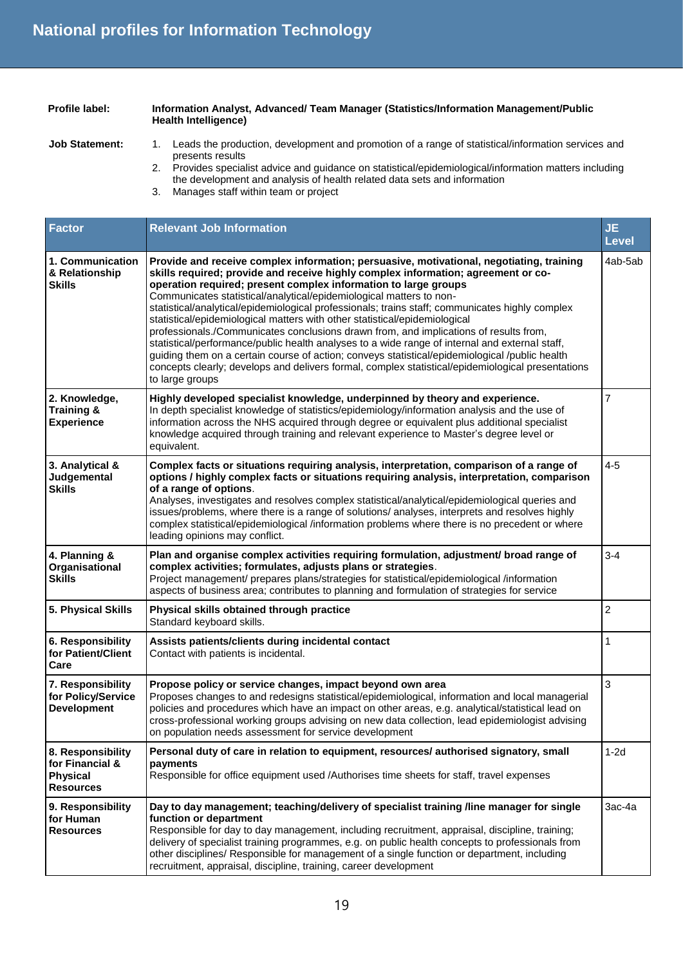## **Profile label: Information Analyst, Advanced/ Team Manager (Statistics/Information Management/Public Health Intelligence)**

- 
- Job Statement: 1. Leads the production, development and promotion of a range of statistical/information services and presents results
	- 2. Provides specialist advice and guidance on statistical/epidemiological/information matters including the development and analysis of health related data sets and information
	- 3. Manages staff within team or project

| <b>Factor</b>                                                               | <b>Relevant Job Information</b>                                                                                                                                                                                                                                                                                                                                                                                                                                                                                                                                                                                                                                                                                                                                                                                                                                                                                               | <b>JE</b><br><b>Level</b> |
|-----------------------------------------------------------------------------|-------------------------------------------------------------------------------------------------------------------------------------------------------------------------------------------------------------------------------------------------------------------------------------------------------------------------------------------------------------------------------------------------------------------------------------------------------------------------------------------------------------------------------------------------------------------------------------------------------------------------------------------------------------------------------------------------------------------------------------------------------------------------------------------------------------------------------------------------------------------------------------------------------------------------------|---------------------------|
| 1. Communication<br>& Relationship<br><b>Skills</b>                         | Provide and receive complex information; persuasive, motivational, negotiating, training<br>skills required; provide and receive highly complex information; agreement or co-<br>operation required; present complex information to large groups<br>Communicates statistical/analytical/epidemiological matters to non-<br>statistical/analytical/epidemiological professionals; trains staff; communicates highly complex<br>statistical/epidemiological matters with other statistical/epidemiological<br>professionals./Communicates conclusions drawn from, and implications of results from,<br>statistical/performance/public health analyses to a wide range of internal and external staff,<br>guiding them on a certain course of action; conveys statistical/epidemiological /public health<br>concepts clearly; develops and delivers formal, complex statistical/epidemiological presentations<br>to large groups | 4ab-5ab                   |
| 2. Knowledge,<br><b>Training &amp;</b><br><b>Experience</b>                 | Highly developed specialist knowledge, underpinned by theory and experience.<br>In depth specialist knowledge of statistics/epidemiology/information analysis and the use of<br>information across the NHS acquired through degree or equivalent plus additional specialist<br>knowledge acquired through training and relevant experience to Master's degree level or<br>equivalent.                                                                                                                                                                                                                                                                                                                                                                                                                                                                                                                                         | $\overline{7}$            |
| 3. Analytical &<br>Judgemental<br><b>Skills</b>                             | Complex facts or situations requiring analysis, interpretation, comparison of a range of<br>options / highly complex facts or situations requiring analysis, interpretation, comparison<br>of a range of options.<br>Analyses, investigates and resolves complex statistical/analytical/epidemiological queries and<br>issues/problems, where there is a range of solutions/ analyses, interprets and resolves highly<br>complex statistical/epidemiological /information problems where there is no precedent or where<br>leading opinions may conflict.                                                                                                                                                                                                                                                                                                                                                                     | $4 - 5$                   |
| 4. Planning &<br>Organisational<br><b>Skills</b>                            | Plan and organise complex activities requiring formulation, adjustment/ broad range of<br>complex activities; formulates, adjusts plans or strategies.<br>Project management/ prepares plans/strategies for statistical/epidemiological /information<br>aspects of business area; contributes to planning and formulation of strategies for service                                                                                                                                                                                                                                                                                                                                                                                                                                                                                                                                                                           | $3 - 4$                   |
| 5. Physical Skills                                                          | Physical skills obtained through practice<br>Standard keyboard skills.                                                                                                                                                                                                                                                                                                                                                                                                                                                                                                                                                                                                                                                                                                                                                                                                                                                        | $\overline{c}$            |
| 6. Responsibility<br>for Patient/Client<br>Care                             | Assists patients/clients during incidental contact<br>Contact with patients is incidental.                                                                                                                                                                                                                                                                                                                                                                                                                                                                                                                                                                                                                                                                                                                                                                                                                                    | $\mathbf{1}$              |
| 7. Responsibility<br>for Policy/Service<br><b>Development</b>               | Propose policy or service changes, impact beyond own area<br>Proposes changes to and redesigns statistical/epidemiological, information and local managerial<br>policies and procedures which have an impact on other areas, e.g. analytical/statistical lead on<br>cross-professional working groups advising on new data collection, lead epidemiologist advising<br>on population needs assessment for service development                                                                                                                                                                                                                                                                                                                                                                                                                                                                                                 | 3                         |
| 8. Responsibility<br>for Financial &<br><b>Physical</b><br><b>Resources</b> | Personal duty of care in relation to equipment, resources/ authorised signatory, small<br>payments<br>Responsible for office equipment used /Authorises time sheets for staff, travel expenses                                                                                                                                                                                                                                                                                                                                                                                                                                                                                                                                                                                                                                                                                                                                | $1-2d$                    |
| 9. Responsibility<br>for Human<br><b>Resources</b>                          | Day to day management; teaching/delivery of specialist training /line manager for single<br>function or department<br>Responsible for day to day management, including recruitment, appraisal, discipline, training;<br>delivery of specialist training programmes, e.g. on public health concepts to professionals from<br>other disciplines/ Responsible for management of a single function or department, including<br>recruitment, appraisal, discipline, training, career development                                                                                                                                                                                                                                                                                                                                                                                                                                   | 3ac-4a                    |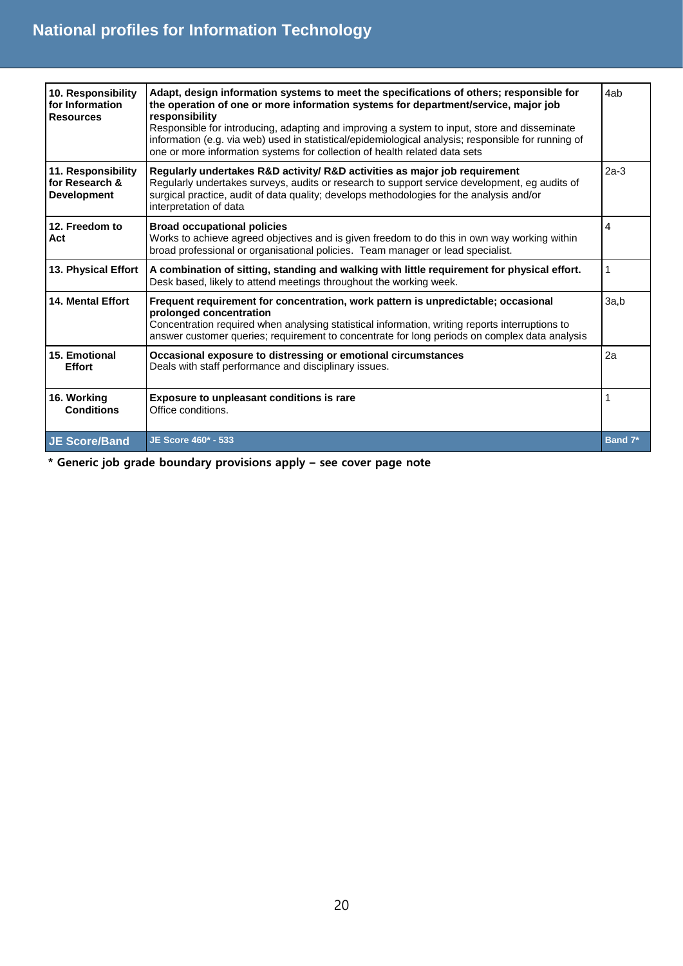| 10. Responsibility<br>for Information<br><b>Resources</b>  | Adapt, design information systems to meet the specifications of others; responsible for<br>the operation of one or more information systems for department/service, major job<br>responsibility<br>Responsible for introducing, adapting and improving a system to input, store and disseminate<br>information (e.g. via web) used in statistical/epidemiological analysis; responsible for running of<br>one or more information systems for collection of health related data sets | 4ab          |
|------------------------------------------------------------|--------------------------------------------------------------------------------------------------------------------------------------------------------------------------------------------------------------------------------------------------------------------------------------------------------------------------------------------------------------------------------------------------------------------------------------------------------------------------------------|--------------|
| 11. Responsibility<br>for Research &<br><b>Development</b> | Regularly undertakes R&D activity/ R&D activities as major job requirement<br>Regularly undertakes surveys, audits or research to support service development, eg audits of<br>surgical practice, audit of data quality; develops methodologies for the analysis and/or<br>interpretation of data                                                                                                                                                                                    | $2a-3$       |
| 12. Freedom to<br>Act                                      | <b>Broad occupational policies</b><br>Works to achieve agreed objectives and is given freedom to do this in own way working within<br>broad professional or organisational policies. Team manager or lead specialist.                                                                                                                                                                                                                                                                | 4            |
| 13. Physical Effort                                        | A combination of sitting, standing and walking with little requirement for physical effort.<br>Desk based, likely to attend meetings throughout the working week.                                                                                                                                                                                                                                                                                                                    | $\mathbf{1}$ |
| <b>14. Mental Effort</b>                                   | Frequent requirement for concentration, work pattern is unpredictable; occasional<br>prolonged concentration<br>Concentration required when analysing statistical information, writing reports interruptions to<br>answer customer queries; requirement to concentrate for long periods on complex data analysis                                                                                                                                                                     | 3a,b         |
| 15. Emotional<br><b>Effort</b>                             | Occasional exposure to distressing or emotional circumstances<br>Deals with staff performance and disciplinary issues.                                                                                                                                                                                                                                                                                                                                                               | 2a           |
| 16. Working<br><b>Conditions</b>                           | Exposure to unpleasant conditions is rare<br>Office conditions.                                                                                                                                                                                                                                                                                                                                                                                                                      | 1            |
| <b>JE Score/Band</b>                                       | JE Score 460* - 533                                                                                                                                                                                                                                                                                                                                                                                                                                                                  | Band 7*      |

**\* Generic job grade boundary provisions apply – see cover page note**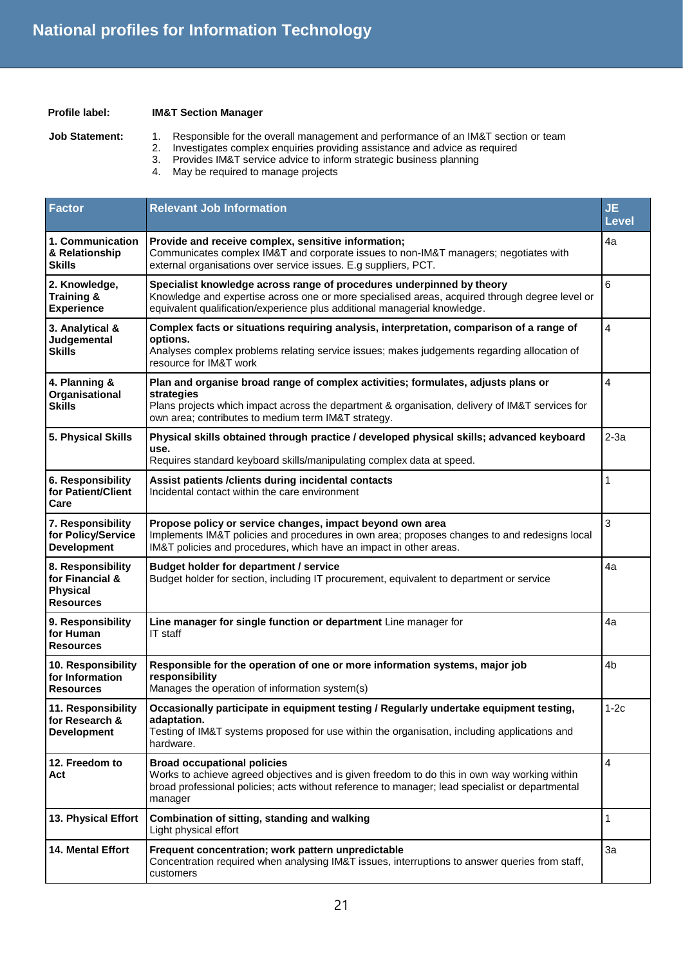#### **Profile label: IM&T Section Manager**

- **Job Statement:** 1. Responsible for the overall management and performance of an IM&T section or team
	- 2. Investigates complex enquiries providing assistance and advice as required
	- 3. Provides IM&T service advice to inform strategic business planning
	- 4. May be required to manage projects

| <b>Factor</b>                                                               | <b>Relevant Job Information</b>                                                                                                                                                                                                                           | <b>JE</b><br><b>Level</b> |
|-----------------------------------------------------------------------------|-----------------------------------------------------------------------------------------------------------------------------------------------------------------------------------------------------------------------------------------------------------|---------------------------|
| 1. Communication<br>& Relationship<br>Skills                                | Provide and receive complex, sensitive information;<br>Communicates complex IM&T and corporate issues to non-IM&T managers; negotiates with<br>external organisations over service issues. E.g suppliers, PCT.                                            | 4a                        |
| 2. Knowledge,<br><b>Training &amp;</b><br><b>Experience</b>                 | Specialist knowledge across range of procedures underpinned by theory<br>Knowledge and expertise across one or more specialised areas, acquired through degree level or<br>equivalent qualification/experience plus additional managerial knowledge.      | 6                         |
| 3. Analytical &<br>Judgemental<br><b>Skills</b>                             | Complex facts or situations requiring analysis, interpretation, comparison of a range of<br>options.<br>Analyses complex problems relating service issues; makes judgements regarding allocation of<br>resource for IM&T work                             | 4                         |
| 4. Planning &<br>Organisational<br><b>Skills</b>                            | Plan and organise broad range of complex activities; formulates, adjusts plans or<br>strategies<br>Plans projects which impact across the department & organisation, delivery of IM&T services for<br>own area; contributes to medium term IM&T strategy. | 4                         |
| 5. Physical Skills                                                          | Physical skills obtained through practice / developed physical skills; advanced keyboard<br>use.<br>Requires standard keyboard skills/manipulating complex data at speed.                                                                                 | $2-3a$                    |
| 6. Responsibility<br>for Patient/Client<br>Care                             | Assist patients / clients during incidental contacts<br>Incidental contact within the care environment                                                                                                                                                    | 1                         |
| 7. Responsibility<br>for Policy/Service<br><b>Development</b>               | Propose policy or service changes, impact beyond own area<br>Implements IM&T policies and procedures in own area; proposes changes to and redesigns local<br>IM&T policies and procedures, which have an impact in other areas.                           | 3                         |
| 8. Responsibility<br>for Financial &<br><b>Physical</b><br><b>Resources</b> | Budget holder for department / service<br>Budget holder for section, including IT procurement, equivalent to department or service                                                                                                                        | 4a                        |
| 9. Responsibility<br>for Human<br><b>Resources</b>                          | Line manager for single function or department Line manager for<br>IT staff                                                                                                                                                                               | 4a                        |
| 10. Responsibility<br>for Information<br><b>Resources</b>                   | Responsible for the operation of one or more information systems, major job<br>responsibility<br>Manages the operation of information system(s)                                                                                                           | 4b                        |
| 11. Responsibility<br>for Research &<br><b>Development</b>                  | Occasionally participate in equipment testing / Regularly undertake equipment testing,<br>adaptation.<br>Testing of IM&T systems proposed for use within the organisation, including applications and<br>hardware.                                        | $1-2c$                    |
| 12. Freedom to<br>Act                                                       | <b>Broad occupational policies</b><br>Works to achieve agreed objectives and is given freedom to do this in own way working within<br>broad professional policies; acts without reference to manager; lead specialist or departmental<br>manager          | 4                         |
| 13. Physical Effort                                                         | Combination of sitting, standing and walking<br>Light physical effort                                                                                                                                                                                     | $\mathbf{1}$              |
| 14. Mental Effort                                                           | Frequent concentration; work pattern unpredictable<br>Concentration required when analysing IM&T issues, interruptions to answer queries from staff,<br>customers                                                                                         | 3a                        |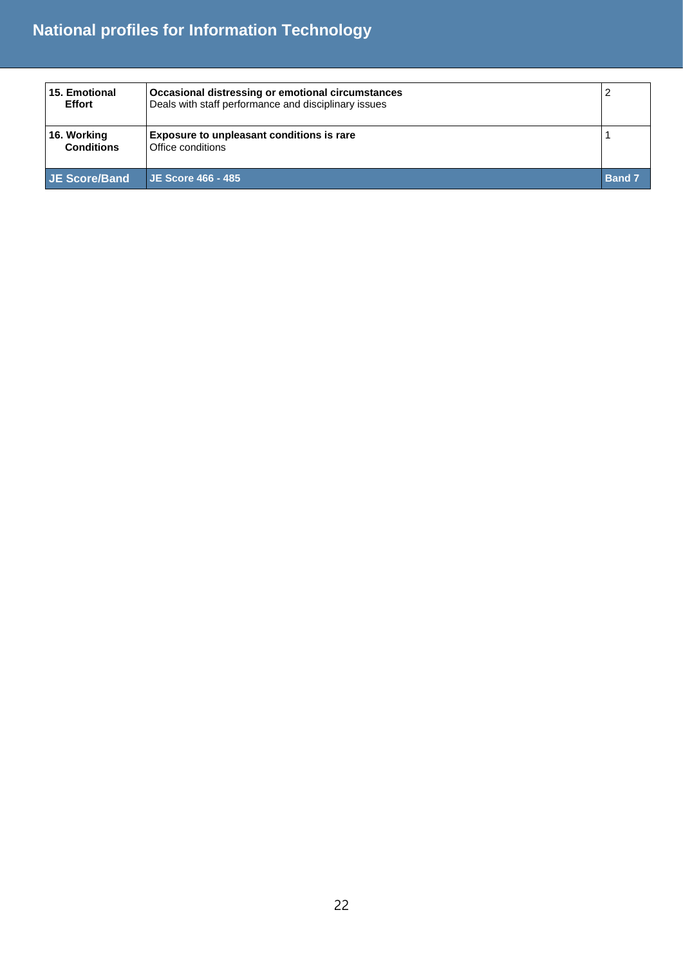| 15. Emotional<br><b>Effort</b>   | Occasional distressing or emotional circumstances<br>Deals with staff performance and disciplinary issues |               |
|----------------------------------|-----------------------------------------------------------------------------------------------------------|---------------|
| 16. Working<br><b>Conditions</b> | <b>Exposure to unpleasant conditions is rare</b><br>Office conditions                                     |               |
| <b>JE Score/Band</b>             | <b>JE Score 466 - 485</b>                                                                                 | <b>Band 7</b> |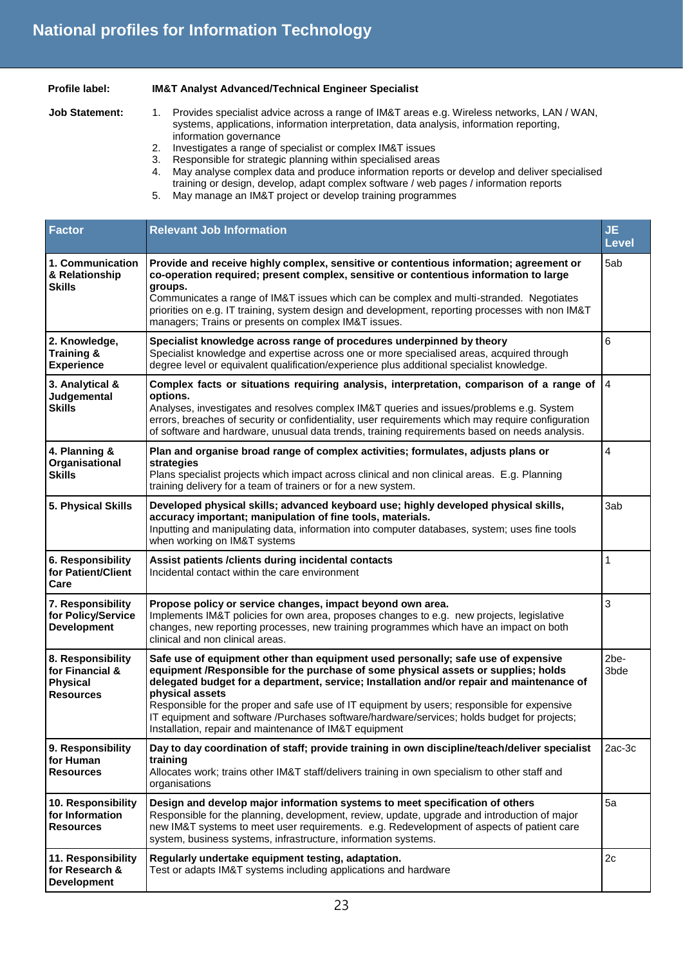### **Profile label: IM&T Analyst Advanced/Technical Engineer Specialist**

- **Job Statement:** 1. Provides specialist advice across a range of IM&T areas e.g. Wireless networks, LAN / WAN, systems, applications, information interpretation, data analysis, information reporting, information governance
	- 2. Investigates a range of specialist or complex IM&T issues
	- 3. Responsible for strategic planning within specialised areas<br>4. May analyse complex data and produce information reports
	- May analyse complex data and produce information reports or develop and deliver specialised training or design, develop, adapt complex software / web pages / information reports
	- 5. May manage an IM&T project or develop training programmes

| <b>Factor</b>                                                               | <b>Relevant Job Information</b>                                                                                                                                                                                                                                                                                                                                                                                                                                                                                                                 | <b>JE</b><br><b>Level</b> |
|-----------------------------------------------------------------------------|-------------------------------------------------------------------------------------------------------------------------------------------------------------------------------------------------------------------------------------------------------------------------------------------------------------------------------------------------------------------------------------------------------------------------------------------------------------------------------------------------------------------------------------------------|---------------------------|
| 1. Communication<br>& Relationship<br><b>Skills</b>                         | Provide and receive highly complex, sensitive or contentious information; agreement or<br>co-operation required; present complex, sensitive or contentious information to large<br>groups.<br>Communicates a range of IM&T issues which can be complex and multi-stranded. Negotiates<br>priorities on e.g. IT training, system design and development, reporting processes with non IM&T<br>managers; Trains or presents on complex IM&T issues.                                                                                               | 5ab                       |
| 2. Knowledge,<br><b>Training &amp;</b><br><b>Experience</b>                 | Specialist knowledge across range of procedures underpinned by theory<br>Specialist knowledge and expertise across one or more specialised areas, acquired through<br>degree level or equivalent qualification/experience plus additional specialist knowledge.                                                                                                                                                                                                                                                                                 | 6                         |
| 3. Analytical &<br>Judgemental<br><b>Skills</b>                             | Complex facts or situations requiring analysis, interpretation, comparison of a range of<br>options.<br>Analyses, investigates and resolves complex IM&T queries and issues/problems e.g. System<br>errors, breaches of security or confidentiality, user requirements which may require configuration<br>of software and hardware, unusual data trends, training requirements based on needs analysis.                                                                                                                                         | $\overline{4}$            |
| 4. Planning &<br>Organisational<br><b>Skills</b>                            | Plan and organise broad range of complex activities; formulates, adjusts plans or<br>strategies<br>Plans specialist projects which impact across clinical and non clinical areas. E.g. Planning<br>training delivery for a team of trainers or for a new system.                                                                                                                                                                                                                                                                                | $\overline{4}$            |
| 5. Physical Skills                                                          | Developed physical skills; advanced keyboard use; highly developed physical skills,<br>accuracy important; manipulation of fine tools, materials.<br>Inputting and manipulating data, information into computer databases, system; uses fine tools<br>when working on IM&T systems                                                                                                                                                                                                                                                              | 3ab                       |
| 6. Responsibility<br>for Patient/Client<br>Care                             | Assist patients / clients during incidental contacts<br>Incidental contact within the care environment                                                                                                                                                                                                                                                                                                                                                                                                                                          | $\mathbf{1}$              |
| 7. Responsibility<br>for Policy/Service<br><b>Development</b>               | Propose policy or service changes, impact beyond own area.<br>Implements IM&T policies for own area, proposes changes to e.g. new projects, legislative<br>changes, new reporting processes, new training programmes which have an impact on both<br>clinical and non clinical areas.                                                                                                                                                                                                                                                           | 3                         |
| 8. Responsibility<br>for Financial &<br><b>Physical</b><br><b>Resources</b> | Safe use of equipment other than equipment used personally; safe use of expensive<br>equipment /Responsible for the purchase of some physical assets or supplies; holds<br>delegated budget for a department, service; Installation and/or repair and maintenance of<br>physical assets<br>Responsible for the proper and safe use of IT equipment by users; responsible for expensive<br>IT equipment and software /Purchases software/hardware/services; holds budget for projects;<br>Installation, repair and maintenance of IM&T equipment | 2be-<br>3bde              |
| 9. Responsibility<br>for Human<br><b>Resources</b>                          | Day to day coordination of staff; provide training in own discipline/teach/deliver specialist<br>training<br>Allocates work; trains other IM&T staff/delivers training in own specialism to other staff and<br>organisations                                                                                                                                                                                                                                                                                                                    | 2ac-3c                    |
| 10. Responsibility<br>for Information<br><b>Resources</b>                   | Design and develop major information systems to meet specification of others<br>Responsible for the planning, development, review, update, upgrade and introduction of major<br>new IM&T systems to meet user requirements. e.g. Redevelopment of aspects of patient care<br>system, business systems, infrastructure, information systems.                                                                                                                                                                                                     | 5a                        |
| 11. Responsibility<br>for Research &<br><b>Development</b>                  | Regularly undertake equipment testing, adaptation.<br>Test or adapts IM&T systems including applications and hardware                                                                                                                                                                                                                                                                                                                                                                                                                           | 2c                        |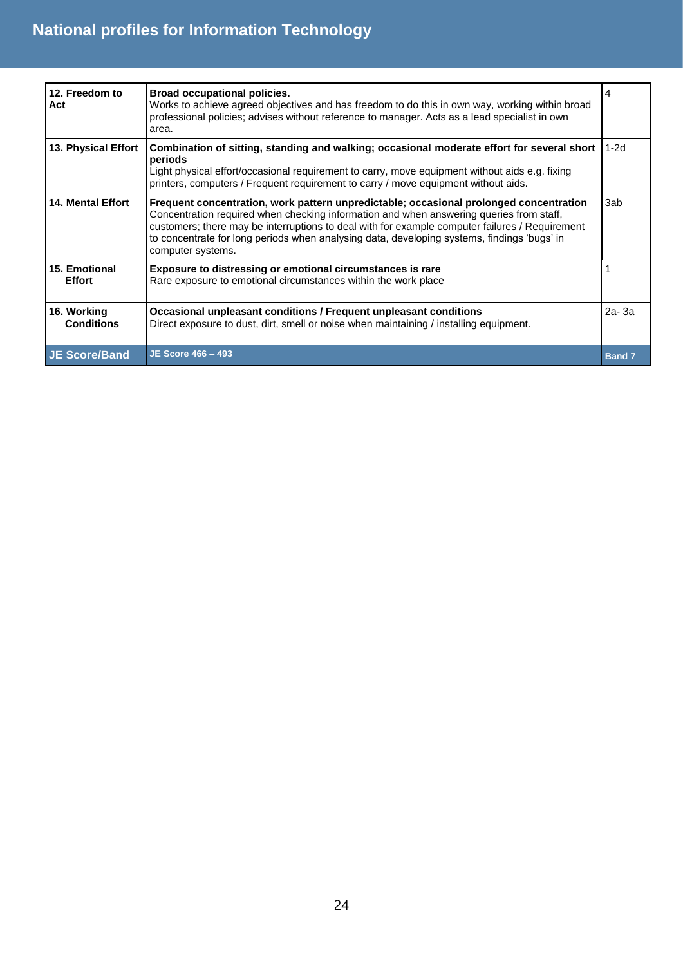| 12. Freedom to<br>Act            | <b>Broad occupational policies.</b><br>Works to achieve agreed objectives and has freedom to do this in own way, working within broad<br>professional policies; advises without reference to manager. Acts as a lead specialist in own<br>area.                                                                                                                                                         | 4             |
|----------------------------------|---------------------------------------------------------------------------------------------------------------------------------------------------------------------------------------------------------------------------------------------------------------------------------------------------------------------------------------------------------------------------------------------------------|---------------|
| 13. Physical Effort              | Combination of sitting, standing and walking; occasional moderate effort for several short<br>periods<br>Light physical effort/occasional requirement to carry, move equipment without aids e.g. fixing<br>printers, computers / Frequent requirement to carry / move equipment without aids.                                                                                                           | $1-2d$        |
| <b>14. Mental Effort</b>         | Frequent concentration, work pattern unpredictable; occasional prolonged concentration<br>Concentration required when checking information and when answering queries from staff,<br>customers; there may be interruptions to deal with for example computer failures / Requirement<br>to concentrate for long periods when analysing data, developing systems, findings 'bugs' in<br>computer systems. | 3ab           |
| 15. Emotional<br><b>Effort</b>   | <b>Exposure to distressing or emotional circumstances is rare</b><br>Rare exposure to emotional circumstances within the work place                                                                                                                                                                                                                                                                     |               |
| 16. Working<br><b>Conditions</b> | Occasional unpleasant conditions / Frequent unpleasant conditions<br>Direct exposure to dust, dirt, smell or noise when maintaining / installing equipment.                                                                                                                                                                                                                                             | 2a-3a         |
| <b>JE Score/Band</b>             | <b>JE Score 466 - 493</b>                                                                                                                                                                                                                                                                                                                                                                               | <b>Band 7</b> |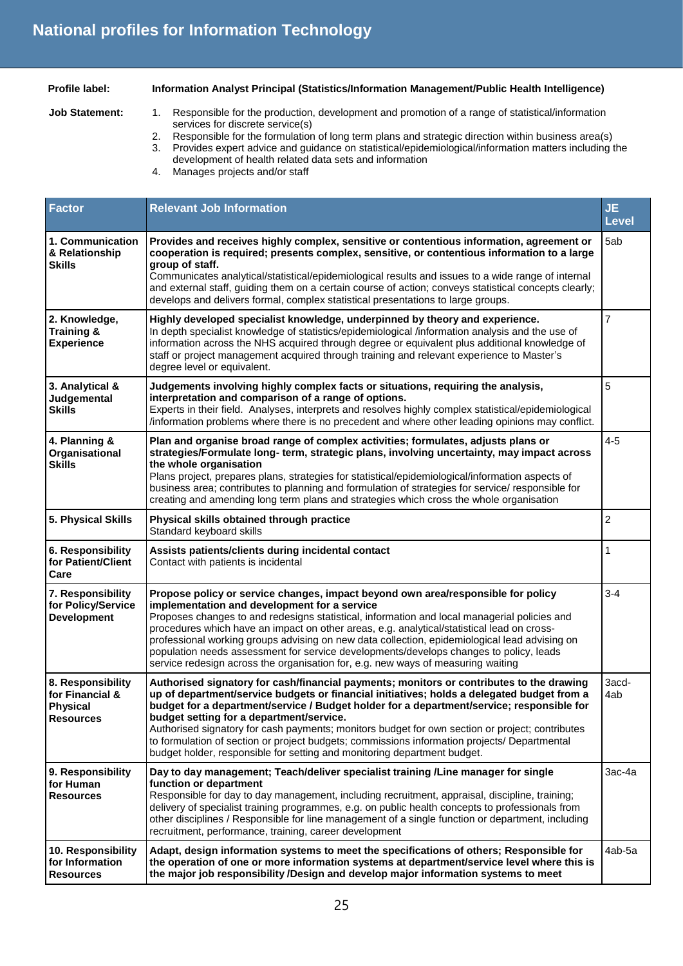**Profile label: Information Analyst Principal (Statistics/Information Management/Public Health Intelligence)** 

**Job Statement:** 1. Responsible for the production, development and promotion of a range of statistical/information services for discrete service(s)

2. Responsible for the formulation of long term plans and strategic direction within business area(s)

3. Provides expert advice and guidance on statistical/epidemiological/information matters including the development of health related data sets and information

4. Manages projects and/or staff

| <b>Factor</b>                                                               | <b>Relevant Job Information</b>                                                                                                                                                                                                                                                                                                                                                                                                                                                                                                                                                                                | <b>JE</b><br><b>Level</b> |
|-----------------------------------------------------------------------------|----------------------------------------------------------------------------------------------------------------------------------------------------------------------------------------------------------------------------------------------------------------------------------------------------------------------------------------------------------------------------------------------------------------------------------------------------------------------------------------------------------------------------------------------------------------------------------------------------------------|---------------------------|
| 1. Communication<br>& Relationship<br><b>Skills</b>                         | Provides and receives highly complex, sensitive or contentious information, agreement or<br>cooperation is required; presents complex, sensitive, or contentious information to a large<br>group of staff.<br>Communicates analytical/statistical/epidemiological results and issues to a wide range of internal<br>and external staff, guiding them on a certain course of action; conveys statistical concepts clearly;<br>develops and delivers formal, complex statistical presentations to large groups.                                                                                                  | 5ab                       |
| 2. Knowledge,<br><b>Training &amp;</b><br><b>Experience</b>                 | Highly developed specialist knowledge, underpinned by theory and experience.<br>In depth specialist knowledge of statistics/epidemiological /information analysis and the use of<br>information across the NHS acquired through degree or equivalent plus additional knowledge of<br>staff or project management acquired through training and relevant experience to Master's<br>degree level or equivalent.                                                                                                                                                                                                  | $\overline{7}$            |
| 3. Analytical &<br>Judgemental<br><b>Skills</b>                             | Judgements involving highly complex facts or situations, requiring the analysis,<br>interpretation and comparison of a range of options.<br>Experts in their field. Analyses, interprets and resolves highly complex statistical/epidemiological<br>/information problems where there is no precedent and where other leading opinions may conflict.                                                                                                                                                                                                                                                           | 5                         |
| 4. Planning &<br>Organisational<br><b>Skills</b>                            | Plan and organise broad range of complex activities; formulates, adjusts plans or<br>strategies/Formulate long-term, strategic plans, involving uncertainty, may impact across<br>the whole organisation<br>Plans project, prepares plans, strategies for statistical/epidemiological/information aspects of<br>business area; contributes to planning and formulation of strategies for service/ responsible for<br>creating and amending long term plans and strategies which cross the whole organisation                                                                                                   | $4 - 5$                   |
| 5. Physical Skills                                                          | Physical skills obtained through practice<br>Standard keyboard skills                                                                                                                                                                                                                                                                                                                                                                                                                                                                                                                                          | $\overline{c}$            |
| 6. Responsibility<br>for Patient/Client<br>Care                             | Assists patients/clients during incidental contact<br>Contact with patients is incidental                                                                                                                                                                                                                                                                                                                                                                                                                                                                                                                      | 1                         |
| 7. Responsibility<br>for Policy/Service<br><b>Development</b>               | Propose policy or service changes, impact beyond own area/responsible for policy<br>implementation and development for a service<br>Proposes changes to and redesigns statistical, information and local managerial policies and<br>procedures which have an impact on other areas, e.g. analytical/statistical lead on cross-<br>professional working groups advising on new data collection, epidemiological lead advising on<br>population needs assessment for service developments/develops changes to policy, leads<br>service redesign across the organisation for, e.g. new ways of measuring waiting  | $3 - 4$                   |
| 8. Responsibility<br>for Financial &<br><b>Physical</b><br><b>Resources</b> | Authorised signatory for cash/financial payments; monitors or contributes to the drawing<br>up of department/service budgets or financial initiatives; holds a delegated budget from a<br>budget for a department/service / Budget holder for a department/service; responsible for<br>budget setting for a department/service.<br>Authorised signatory for cash payments; monitors budget for own section or project; contributes<br>to formulation of section or project budgets; commissions information projects/ Departmental<br>budget holder, responsible for setting and monitoring department budget. | 3acd-<br>4ab              |
| 9. Responsibility<br>for Human<br><b>Resources</b>                          | Day to day management; Teach/deliver specialist training /Line manager for single<br>function or department<br>Responsible for day to day management, including recruitment, appraisal, discipline, training;<br>delivery of specialist training programmes, e.g. on public health concepts to professionals from<br>other disciplines / Responsible for line management of a single function or department, including<br>recruitment, performance, training, career development                                                                                                                               | 3ac-4a                    |
| 10. Responsibility<br>for Information<br><b>Resources</b>                   | Adapt, design information systems to meet the specifications of others; Responsible for<br>the operation of one or more information systems at department/service level where this is<br>the major job responsibility /Design and develop major information systems to meet                                                                                                                                                                                                                                                                                                                                    | 4ab-5a                    |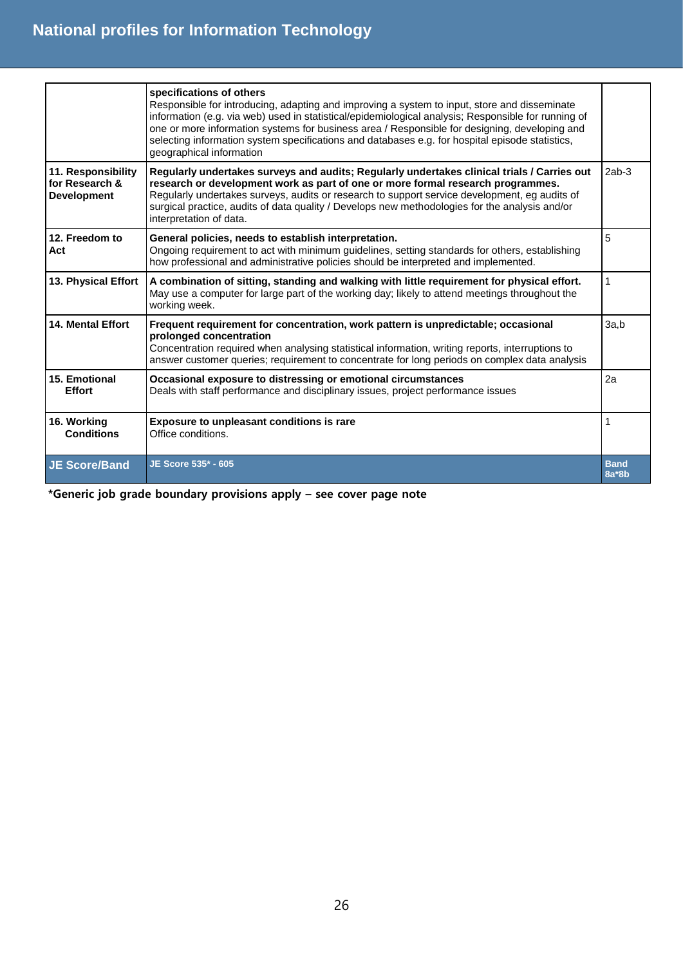|                                                            | specifications of others<br>Responsible for introducing, adapting and improving a system to input, store and disseminate<br>information (e.g. via web) used in statistical/epidemiological analysis; Responsible for running of<br>one or more information systems for business area / Responsible for designing, developing and<br>selecting information system specifications and databases e.g. for hospital episode statistics,<br>geographical information |                        |
|------------------------------------------------------------|-----------------------------------------------------------------------------------------------------------------------------------------------------------------------------------------------------------------------------------------------------------------------------------------------------------------------------------------------------------------------------------------------------------------------------------------------------------------|------------------------|
| 11. Responsibility<br>for Research &<br><b>Development</b> | Regularly undertakes surveys and audits; Regularly undertakes clinical trials / Carries out<br>research or development work as part of one or more formal research programmes.<br>Regularly undertakes surveys, audits or research to support service development, eg audits of<br>surgical practice, audits of data quality / Develops new methodologies for the analysis and/or<br>interpretation of data.                                                    | $2ab-3$                |
| 12. Freedom to<br>Act                                      | General policies, needs to establish interpretation.<br>Ongoing requirement to act with minimum guidelines, setting standards for others, establishing<br>how professional and administrative policies should be interpreted and implemented.                                                                                                                                                                                                                   | 5                      |
| 13. Physical Effort                                        | A combination of sitting, standing and walking with little requirement for physical effort.<br>May use a computer for large part of the working day; likely to attend meetings throughout the<br>working week.                                                                                                                                                                                                                                                  | 1                      |
| <b>14. Mental Effort</b>                                   | Frequent requirement for concentration, work pattern is unpredictable; occasional<br>prolonged concentration<br>Concentration required when analysing statistical information, writing reports, interruptions to<br>answer customer queries; requirement to concentrate for long periods on complex data analysis                                                                                                                                               | 3a,b                   |
| 15. Emotional<br><b>Effort</b>                             | Occasional exposure to distressing or emotional circumstances<br>Deals with staff performance and disciplinary issues, project performance issues                                                                                                                                                                                                                                                                                                               | 2a                     |
| 16. Working<br><b>Conditions</b>                           | Exposure to unpleasant conditions is rare<br>Office conditions.                                                                                                                                                                                                                                                                                                                                                                                                 |                        |
| <b>JE Score/Band</b>                                       | JE Score 535* - 605                                                                                                                                                                                                                                                                                                                                                                                                                                             | <b>Band</b><br>$8a*8b$ |

**\*Generic job grade boundary provisions apply – see cover page note**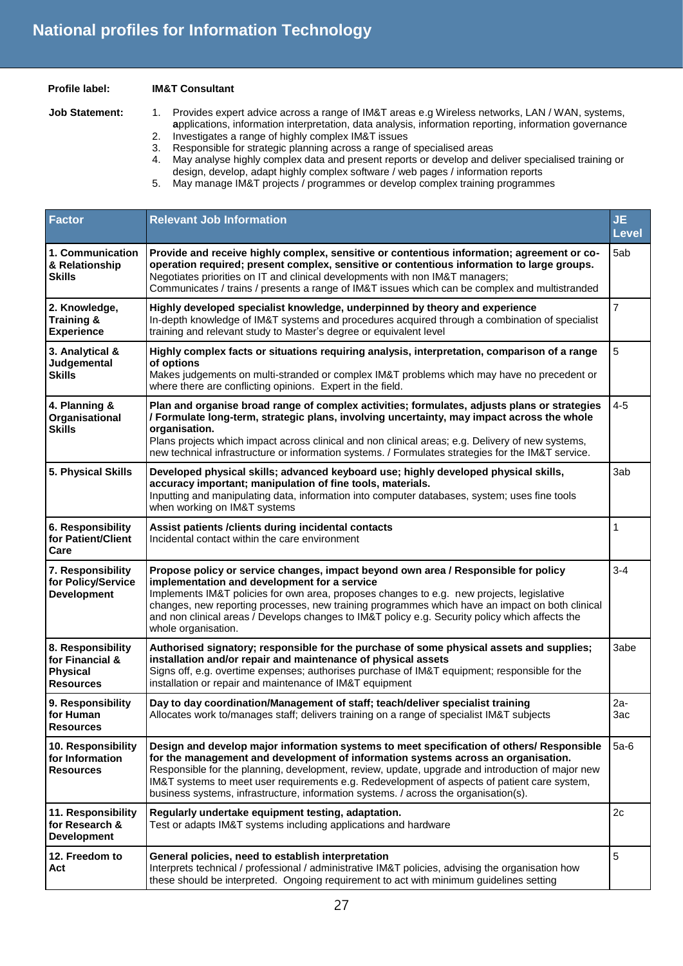#### **Profile label: IM&T Consultant**

#### **Job Statement:** 1. Provides expert advice across a range of IM&T areas e.g Wireless networks, LAN / WAN, systems, **a**pplications, information interpretation, data analysis, information reporting, information governance 2. Investigates a range of highly complex IM&T issues

- 3. Responsible for strategic planning across a range of specialised areas
- 4. May analyse highly complex data and present reports or develop and deliver specialised training or design, develop, adapt highly complex software / web pages / information reports
- 5. May manage IM&T projects / programmes or develop complex training programmes

| <b>Factor</b>                                                               | <b>Relevant Job Information</b>                                                                                                                                                                                                                                                                                                                                                                                                                                            | <b>JE</b><br><b>Level</b> |
|-----------------------------------------------------------------------------|----------------------------------------------------------------------------------------------------------------------------------------------------------------------------------------------------------------------------------------------------------------------------------------------------------------------------------------------------------------------------------------------------------------------------------------------------------------------------|---------------------------|
| 1. Communication<br>& Relationship<br><b>Skills</b>                         | Provide and receive highly complex, sensitive or contentious information; agreement or co-<br>operation required; present complex, sensitive or contentious information to large groups.<br>Negotiates priorities on IT and clinical developments with non IM&T managers;<br>Communicates / trains / presents a range of IM&T issues which can be complex and multistranded                                                                                                | 5ab                       |
| 2. Knowledge,<br>Training &<br><b>Experience</b>                            | Highly developed specialist knowledge, underpinned by theory and experience<br>In-depth knowledge of IM&T systems and procedures acquired through a combination of specialist<br>training and relevant study to Master's degree or equivalent level                                                                                                                                                                                                                        | $\overline{7}$            |
| 3. Analytical &<br>Judgemental<br><b>Skills</b>                             | Highly complex facts or situations requiring analysis, interpretation, comparison of a range<br>of options<br>Makes judgements on multi-stranded or complex IM&T problems which may have no precedent or<br>where there are conflicting opinions. Expert in the field.                                                                                                                                                                                                     | 5                         |
| 4. Planning &<br>Organisational<br><b>Skills</b>                            | Plan and organise broad range of complex activities; formulates, adjusts plans or strategies<br>/ Formulate long-term, strategic plans, involving uncertainty, may impact across the whole<br>organisation.<br>Plans projects which impact across clinical and non clinical areas; e.g. Delivery of new systems,<br>new technical infrastructure or information systems. / Formulates strategies for the IM&T service.                                                     | $4 - 5$                   |
| 5. Physical Skills                                                          | Developed physical skills; advanced keyboard use; highly developed physical skills,<br>accuracy important; manipulation of fine tools, materials.<br>Inputting and manipulating data, information into computer databases, system; uses fine tools<br>when working on IM&T systems                                                                                                                                                                                         | 3ab                       |
| 6. Responsibility<br>for Patient/Client<br>Care                             | Assist patients / clients during incidental contacts<br>Incidental contact within the care environment                                                                                                                                                                                                                                                                                                                                                                     | 1                         |
| 7. Responsibility<br>for Policy/Service<br><b>Development</b>               | Propose policy or service changes, impact beyond own area / Responsible for policy<br>implementation and development for a service<br>Implements IM&T policies for own area, proposes changes to e.g. new projects, legislative<br>changes, new reporting processes, new training programmes which have an impact on both clinical<br>and non clinical areas / Develops changes to IM&T policy e.g. Security policy which affects the<br>whole organisation.               | $3 - 4$                   |
| 8. Responsibility<br>for Financial &<br><b>Physical</b><br><b>Resources</b> | Authorised signatory; responsible for the purchase of some physical assets and supplies;<br>installation and/or repair and maintenance of physical assets<br>Signs off, e.g. overtime expenses; authorises purchase of IM&T equipment; responsible for the<br>installation or repair and maintenance of IM&T equipment                                                                                                                                                     | 3abe                      |
| 9. Responsibility<br>for Human<br><b>Resources</b>                          | Day to day coordination/Management of staff; teach/deliver specialist training<br>Allocates work to/manages staff; delivers training on a range of specialist IM&T subjects                                                                                                                                                                                                                                                                                                | $2a-$<br>3ac              |
| 10. Responsibility<br>for Information<br><b>Resources</b>                   | Design and develop major information systems to meet specification of others/ Responsible<br>for the management and development of information systems across an organisation.<br>Responsible for the planning, development, review, update, upgrade and introduction of major new<br>IM&T systems to meet user requirements e.g. Redevelopment of aspects of patient care system,<br>business systems, infrastructure, information systems. / across the organisation(s). | $5a-6$                    |
| 11. Responsibility<br>for Research &<br><b>Development</b>                  | Regularly undertake equipment testing, adaptation.<br>Test or adapts IM&T systems including applications and hardware                                                                                                                                                                                                                                                                                                                                                      | 2c                        |
| 12. Freedom to<br>Act                                                       | General policies, need to establish interpretation<br>Interprets technical / professional / administrative IM&T policies, advising the organisation how<br>these should be interpreted. Ongoing requirement to act with minimum guidelines setting                                                                                                                                                                                                                         | 5                         |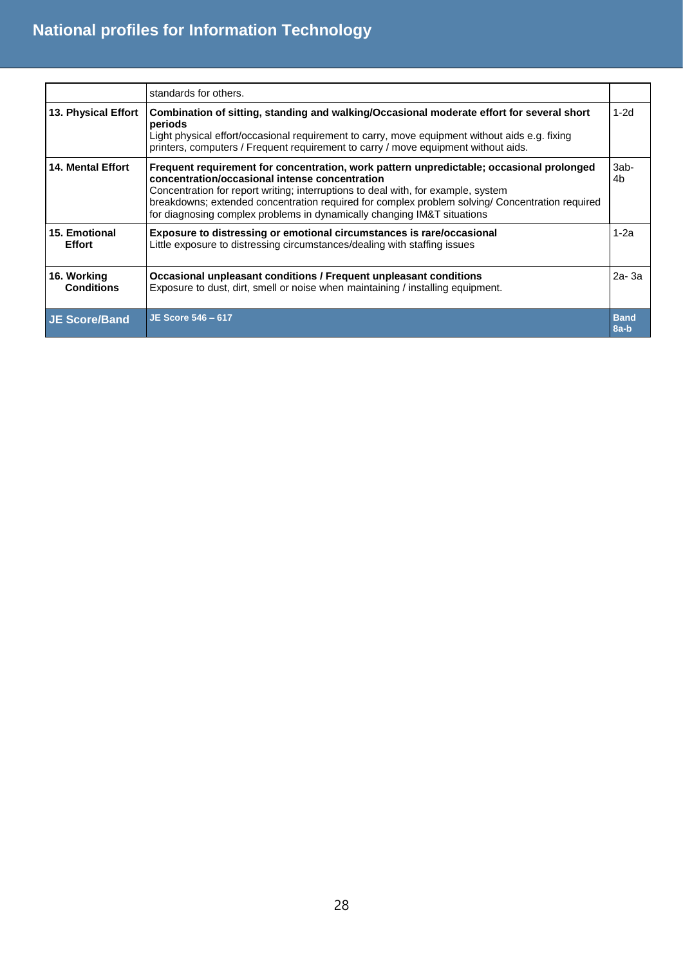|                                  | standards for others.                                                                                                                                                                                                                                                                                                                                                                                         |                        |
|----------------------------------|---------------------------------------------------------------------------------------------------------------------------------------------------------------------------------------------------------------------------------------------------------------------------------------------------------------------------------------------------------------------------------------------------------------|------------------------|
| 13. Physical Effort              | Combination of sitting, standing and walking/Occasional moderate effort for several short<br>periods<br>Light physical effort/occasional requirement to carry, move equipment without aids e.g. fixing<br>printers, computers / Frequent requirement to carry / move equipment without aids.                                                                                                                  | $1-2d$                 |
| <b>14. Mental Effort</b>         | Frequent requirement for concentration, work pattern unpredictable; occasional prolonged<br>concentration/occasional intense concentration<br>Concentration for report writing; interruptions to deal with, for example, system<br>breakdowns; extended concentration required for complex problem solving/ Concentration required<br>for diagnosing complex problems in dynamically changing IM&T situations | 3ab-<br>4 <sub>b</sub> |
| 15. Emotional<br><b>Effort</b>   | Exposure to distressing or emotional circumstances is rare/occasional<br>Little exposure to distressing circumstances/dealing with staffing issues                                                                                                                                                                                                                                                            | $1-2a$                 |
| 16. Working<br><b>Conditions</b> | Occasional unpleasant conditions / Frequent unpleasant conditions<br>Exposure to dust, dirt, smell or noise when maintaining / installing equipment.                                                                                                                                                                                                                                                          | $2a-3a$                |
| <b>JE Score/Band</b>             | JE Score 546 - 617                                                                                                                                                                                                                                                                                                                                                                                            | <b>Band</b><br>$8a-b$  |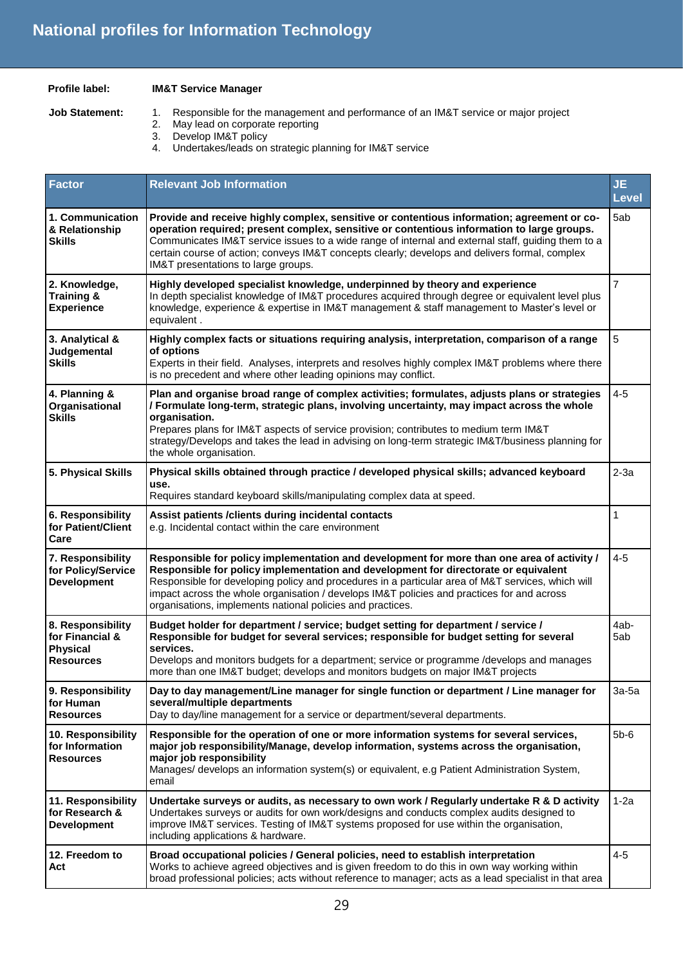### **Profile label: IM&T Service Manager**

- **Job Statement:** 1. Responsible for the management and performance of an IM&T service or major project
	- 2. May lead on corporate reporting
	- 3. Develop IM&T policy
	- 4. Undertakes/leads on strategic planning for IM&T service

| <b>Factor</b>                                                               | <b>Relevant Job Information</b>                                                                                                                                                                                                                                                                                                                                                                                                                    | <b>JE</b><br><b>Level</b> |
|-----------------------------------------------------------------------------|----------------------------------------------------------------------------------------------------------------------------------------------------------------------------------------------------------------------------------------------------------------------------------------------------------------------------------------------------------------------------------------------------------------------------------------------------|---------------------------|
| 1. Communication<br>& Relationship<br><b>Skills</b>                         | Provide and receive highly complex, sensitive or contentious information; agreement or co-<br>operation required; present complex, sensitive or contentious information to large groups.<br>Communicates IM&T service issues to a wide range of internal and external staff, guiding them to a<br>certain course of action; conveys IM&T concepts clearly; develops and delivers formal, complex<br>IM&T presentations to large groups.            | 5ab                       |
| 2. Knowledge,<br><b>Training &amp;</b><br><b>Experience</b>                 | Highly developed specialist knowledge, underpinned by theory and experience<br>In depth specialist knowledge of IM&T procedures acquired through degree or equivalent level plus<br>knowledge, experience & expertise in IM&T management & staff management to Master's level or<br>equivalent.                                                                                                                                                    | 7                         |
| 3. Analytical &<br>Judgemental<br><b>Skills</b>                             | Highly complex facts or situations requiring analysis, interpretation, comparison of a range<br>of options<br>Experts in their field. Analyses, interprets and resolves highly complex IM&T problems where there<br>is no precedent and where other leading opinions may conflict.                                                                                                                                                                 | 5                         |
| 4. Planning &<br>Organisational<br><b>Skills</b>                            | Plan and organise broad range of complex activities; formulates, adjusts plans or strategies<br>/ Formulate long-term, strategic plans, involving uncertainty, may impact across the whole<br>organisation.<br>Prepares plans for IM&T aspects of service provision; contributes to medium term IM&T<br>strategy/Develops and takes the lead in advising on long-term strategic IM&T/business planning for<br>the whole organisation.              | $4 - 5$                   |
| 5. Physical Skills                                                          | Physical skills obtained through practice / developed physical skills; advanced keyboard<br>use.<br>Requires standard keyboard skills/manipulating complex data at speed.                                                                                                                                                                                                                                                                          | $2-3a$                    |
| 6. Responsibility<br>for Patient/Client<br>Care                             | Assist patients / clients during incidental contacts<br>e.g. Incidental contact within the care environment                                                                                                                                                                                                                                                                                                                                        | 1                         |
| 7. Responsibility<br>for Policy/Service<br><b>Development</b>               | Responsible for policy implementation and development for more than one area of activity /<br>Responsible for policy implementation and development for directorate or equivalent<br>Responsible for developing policy and procedures in a particular area of M&T services, which will<br>impact across the whole organisation / develops IM&T policies and practices for and across<br>organisations, implements national policies and practices. | $4 - 5$                   |
| 8. Responsibility<br>for Financial &<br><b>Physical</b><br><b>Resources</b> | Budget holder for department / service; budget setting for department / service /<br>Responsible for budget for several services; responsible for budget setting for several<br>services.<br>Develops and monitors budgets for a department; service or programme /develops and manages<br>more than one IM&T budget; develops and monitors budgets on major IM&T projects                                                                         | 4ab-<br>5ab               |
| 9. Responsibility<br>for Human<br><b>Resources</b>                          | Day to day management/Line manager for single function or department / Line manager for<br>several/multiple departments<br>Day to day/line management for a service or department/several departments.                                                                                                                                                                                                                                             | 3а-5а                     |
| 10. Responsibility<br>for Information<br><b>Resources</b>                   | Responsible for the operation of one or more information systems for several services,<br>major job responsibility/Manage, develop information, systems across the organisation,<br>major job responsibility<br>Manages/ develops an information system(s) or equivalent, e.g Patient Administration System,<br>email                                                                                                                              | $5b-6$                    |
| 11. Responsibility<br>for Research &<br><b>Development</b>                  | Undertake surveys or audits, as necessary to own work / Regularly undertake R & D activity<br>Undertakes surveys or audits for own work/designs and conducts complex audits designed to<br>improve IM&T services. Testing of IM&T systems proposed for use within the organisation,<br>including applications & hardware.                                                                                                                          | $1-2a$                    |
| 12. Freedom to<br>Act                                                       | Broad occupational policies / General policies, need to establish interpretation<br>Works to achieve agreed objectives and is given freedom to do this in own way working within<br>broad professional policies; acts without reference to manager; acts as a lead specialist in that area                                                                                                                                                         | $4 - 5$                   |